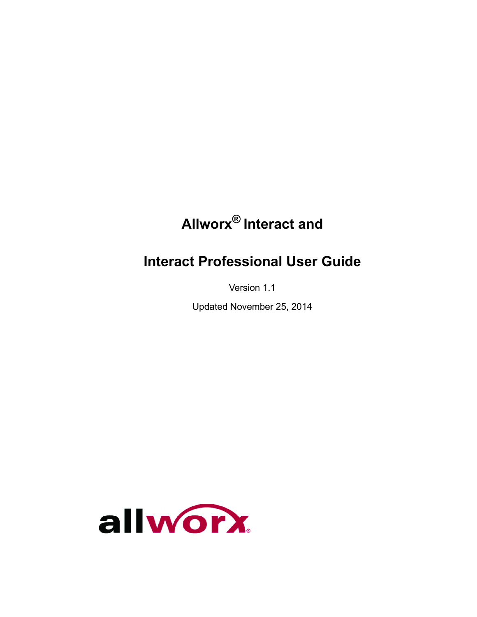## **Allworx® Interact and**

### **Interact Professional User Guide**

Version 1.1

Updated November 25, 2014

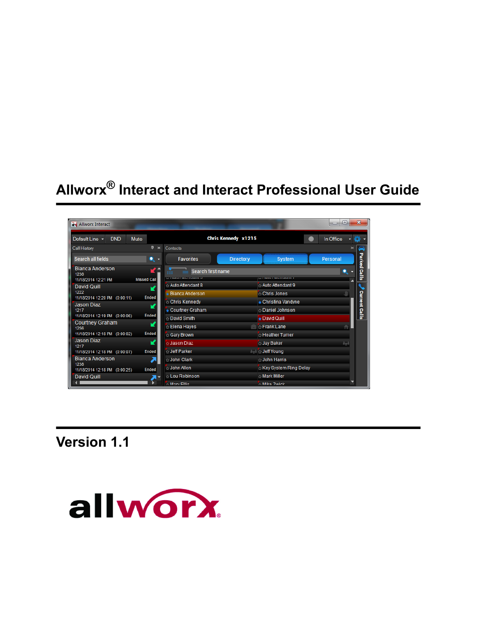## **Allworx® Interact and Interact Professional User Guide**

| Allworx Interact                                                |                                                                 |                          |                                             | ⋴<br>▭    |   | х                |
|-----------------------------------------------------------------|-----------------------------------------------------------------|--------------------------|---------------------------------------------|-----------|---|------------------|
| Default Line +<br><b>DND</b><br>Mute                            |                                                                 | Chris Kennedy x1215      |                                             | In Office |   |                  |
| Call History                                                    | $\sqrt{4}$ $\times$<br>Contacts                                 |                          |                                             |           | × |                  |
| <b>Search all fields</b>                                        | <b>Favorites</b><br>ο<br>×                                      | <b>Directory</b>         | <b>System</b>                               | Personal  |   | Parked           |
| <b>Bianca Anderson</b><br>1238<br>11/18/2014 12:21 PM           | m<br><b><i>CAMBRO A WAS TRIBUTED</i></b><br><b>Missed Call</b>  | <b>Search first name</b> | <b><i>FRIDER MOTIVALITY I</i></b>           |           |   | Calls            |
| David Quill<br>1222<br>11/18/2014 12:20 PM (0:00:11)            | Auto Attendant 8<br>$\triangle$ Bianca Anderson<br>Ended        |                          | Auto Attendant 9<br>Chris Jones             |           |   |                  |
| <b>Jason Diaz</b><br>1217<br>11/18/2014 12:19 PM (0:00:06)      | <b>Chris Kennedy</b><br>Courtney Graham<br>Ended                |                          | ★ Christina Vandyne<br>Daniel Johnson       |           |   | Current<br>Calls |
| Courtney Graham<br>1256<br>11/18/2014 12:18 PM (0:00:02)        | <b>David Smith</b><br>Elena Hayes<br><b>Ended</b><br>Gary Brown |                          | David Quill<br>Frank Lane<br>Heather Turner |           |   |                  |
| <b>Jason Diaz</b><br>1217<br>11/18/2014 12:18 PM (0:00:07)      | ⊙ Jason Diaz<br>Jeff Parker<br><b>Ended</b>                     |                          | Jay Baker<br>Jeff Young                     |           |   |                  |
| <b>Bianca Anderson</b><br>1238<br>11/18/2014 12:18 PM (0:00:25) | John Clark<br>John Allen<br>Ended                               |                          | John Harris<br>Key System Ring Delay        |           |   |                  |
| David Quill                                                     | Lou Robinson<br>Mon Filie                                       |                          | Mark Miller<br>Mike Zwick                   |           |   |                  |

### **Version 1.1**

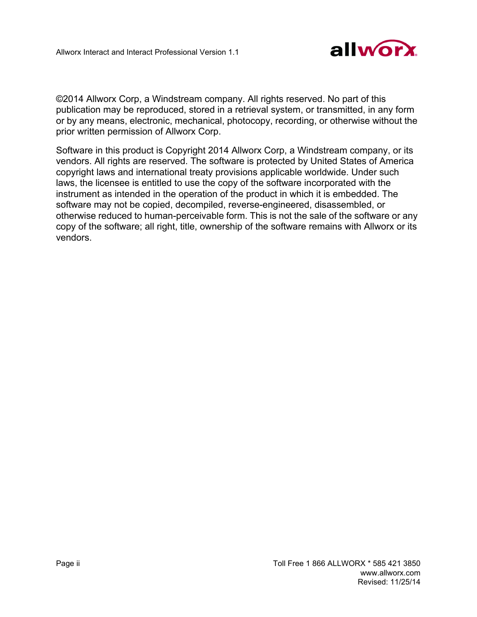

©2014 Allworx Corp, a Windstream company. All rights reserved. No part of this publication may be reproduced, stored in a retrieval system, or transmitted, in any form or by any means, electronic, mechanical, photocopy, recording, or otherwise without the prior written permission of Allworx Corp.

Software in this product is Copyright 2014 Allworx Corp, a Windstream company, or its vendors. All rights are reserved. The software is protected by United States of America copyright laws and international treaty provisions applicable worldwide. Under such laws, the licensee is entitled to use the copy of the software incorporated with the instrument as intended in the operation of the product in which it is embedded. The software may not be copied, decompiled, reverse-engineered, disassembled, or otherwise reduced to human-perceivable form. This is not the sale of the software or any copy of the software; all right, title, ownership of the software remains with Allworx or its vendors.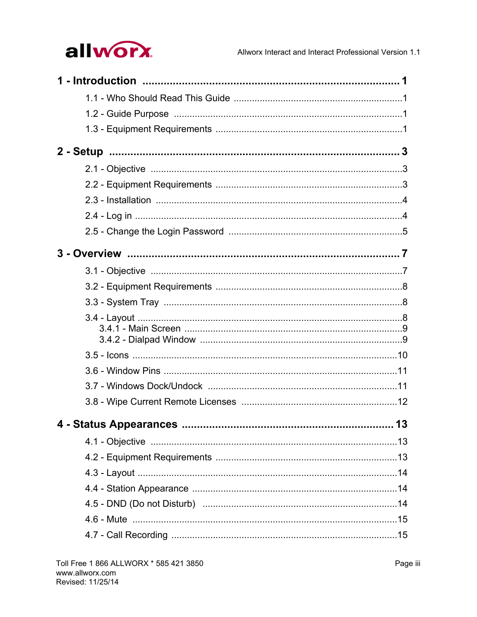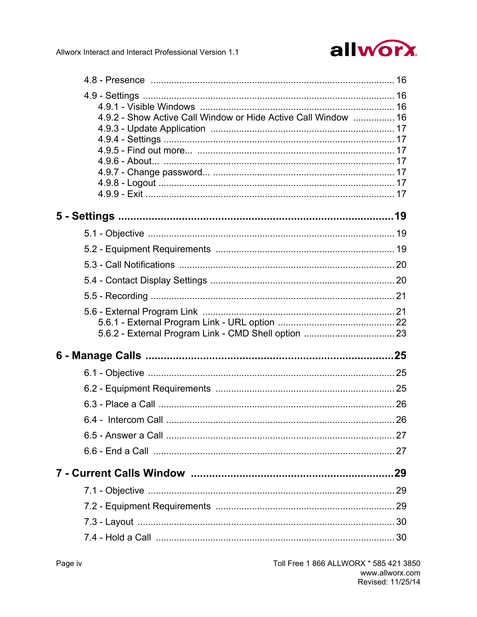

| 4.9.2 - Show Active Call Window or Hide Active Call Window  16 |  |
|----------------------------------------------------------------|--|
|                                                                |  |
|                                                                |  |
|                                                                |  |
|                                                                |  |
|                                                                |  |
|                                                                |  |
|                                                                |  |
|                                                                |  |
|                                                                |  |
|                                                                |  |
|                                                                |  |
|                                                                |  |
|                                                                |  |
|                                                                |  |
|                                                                |  |
|                                                                |  |
|                                                                |  |
|                                                                |  |
|                                                                |  |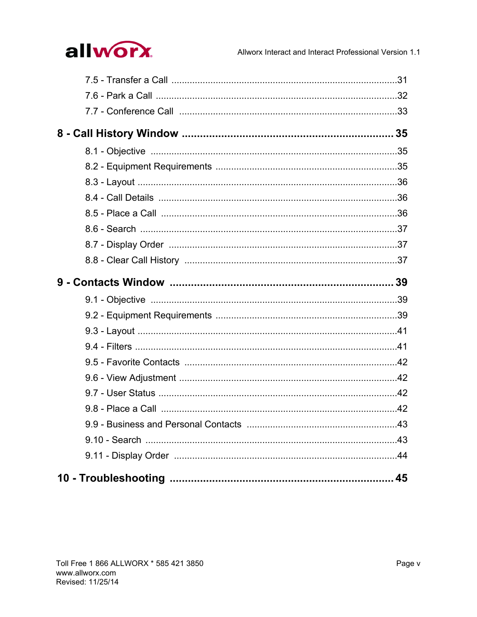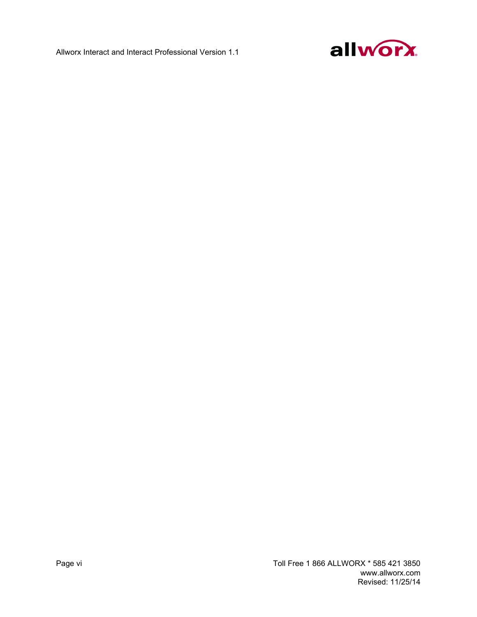

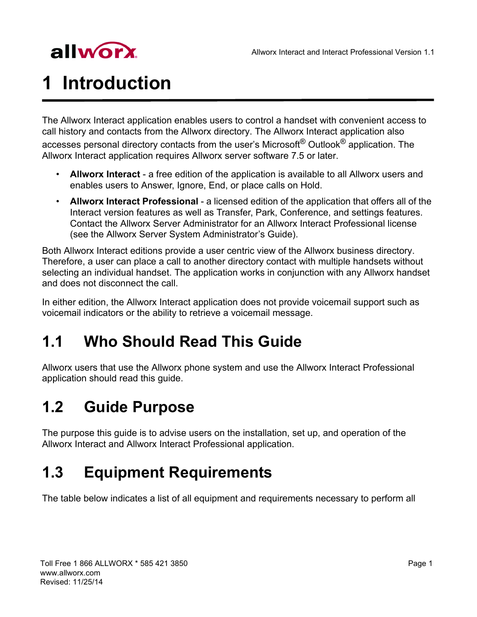

## <span id="page-8-0"></span>**1 Introduction**

The Allworx Interact application enables users to control a handset with convenient access to call history and contacts from the Allworx directory. The Allworx Interact application also accesses personal directory contacts from the user's Microsoft<sup>®</sup> Outlook<sup>®</sup> application. The Allworx Interact application requires Allworx server software 7.5 or later.

- **Allworx Interact** a free edition of the application is available to all Allworx users and enables users to Answer, Ignore, End, or place calls on Hold.
- **Allworx Interact Professional** a licensed edition of the application that offers all of the Interact version features as well as Transfer, Park, Conference, and settings features. Contact the Allworx Server Administrator for an Allworx Interact Professional license (see the Allworx Server System Administrator's Guide).

Both Allworx Interact editions provide a user centric view of the Allworx business directory. Therefore, a user can place a call to another directory contact with multiple handsets without selecting an individual handset. The application works in conjunction with any Allworx handset and does not disconnect the call.

In either edition, the Allworx Interact application does not provide voicemail support such as voicemail indicators or the ability to retrieve a voicemail message.

### <span id="page-8-1"></span>**1.1 Who Should Read This Guide**

Allworx users that use the Allworx phone system and use the Allworx Interact Professional application should read this guide.

### <span id="page-8-2"></span>**1.2 Guide Purpose**

The purpose this guide is to advise users on the installation, set up, and operation of the Allworx Interact and Allworx Interact Professional application.

### <span id="page-8-4"></span><span id="page-8-3"></span>**1.3 Equipment Requirements**

The table below indicates a list of all equipment and requirements necessary to perform all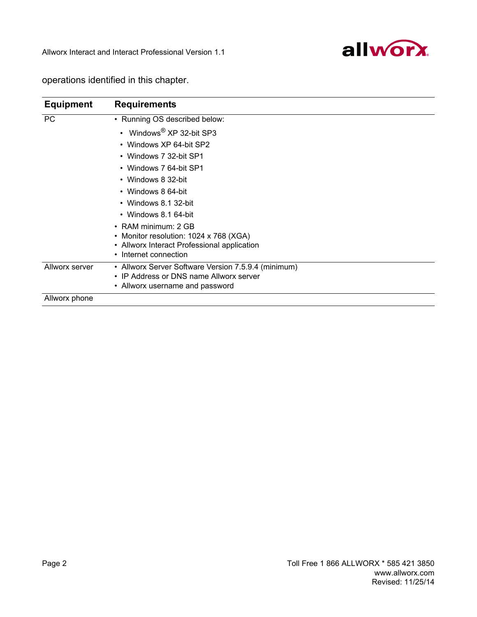

operations identified in this chapter.

| <b>Equipment</b> | <b>Requirements</b>                                                                                                                         |
|------------------|---------------------------------------------------------------------------------------------------------------------------------------------|
| PC               | • Running OS described below:                                                                                                               |
|                  | • Windows <sup>®</sup> XP 32-bit SP3                                                                                                        |
|                  | • Windows XP 64-bit SP2                                                                                                                     |
|                  | • Windows 7 32-bit SP1                                                                                                                      |
|                  | • Windows 7 64-bit SP1                                                                                                                      |
|                  | • Windows 8 32-bit                                                                                                                          |
|                  | • Windows 8 64-bit                                                                                                                          |
|                  | • Windows 8.1 32-bit                                                                                                                        |
|                  | • Windows 8.1 64-bit                                                                                                                        |
|                  | $\cdot$ RAM minimum: 2 GB<br>• Monitor resolution: 1024 x 768 (XGA)<br>• Allworx Interact Professional application<br>• Internet connection |
| Allworx server   | • Allworx Server Software Version 7.5.9.4 (minimum)<br>• IP Address or DNS name Allworx server<br>• Allworx username and password           |
| Allworx phone    |                                                                                                                                             |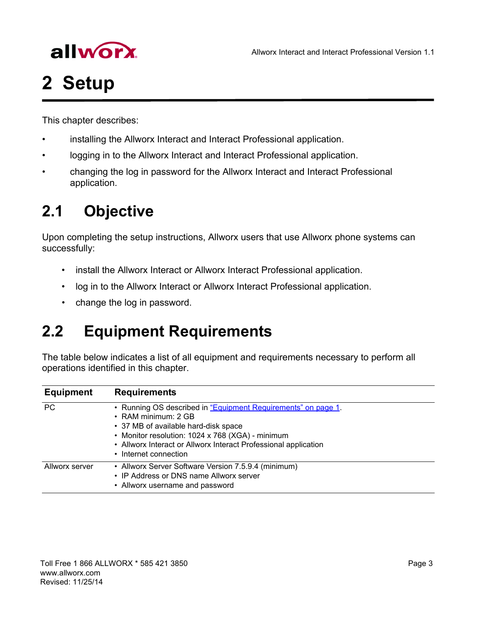

## <span id="page-10-0"></span>**2 Setup**

This chapter describes:

- installing the Allworx Interact and Interact Professional application.
- logging in to the Allworx Interact and Interact Professional application.
- changing the log in password for the Allworx Interact and Interact Professional application.

### <span id="page-10-1"></span>**2.1 Objective**

Upon completing the setup instructions, Allworx users that use Allworx phone systems can successfully:

- install the Allworx Interact or Allworx Interact Professional application.
- log in to the Allworx Interact or Allworx Interact Professional application.
- change the log in password.

### <span id="page-10-2"></span>**2.2 Equipment Requirements**

The table below indicates a list of all equipment and requirements necessary to perform all operations identified in this chapter.

| <b>Equipment</b> | <b>Requirements</b>                                                                                                                                                                                                                                                          |
|------------------|------------------------------------------------------------------------------------------------------------------------------------------------------------------------------------------------------------------------------------------------------------------------------|
| <b>PC</b>        | • Running OS described in "Equipment Requirements" on page 1.<br>• RAM minimum: 2 GB<br>• 37 MB of available hard-disk space<br>• Monitor resolution: 1024 x 768 (XGA) - minimum<br>• Allworx Interact or Allworx Interact Professional application<br>• Internet connection |
| Allworx server   | • Allworx Server Software Version 7.5.9.4 (minimum)<br>• IP Address or DNS name Allworx server<br>• Allworx username and password                                                                                                                                            |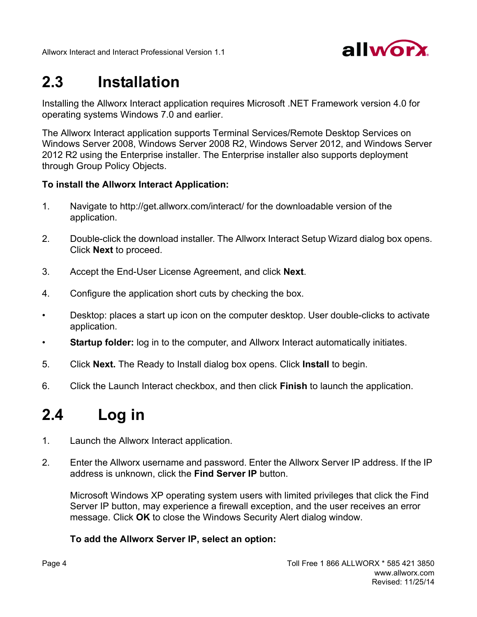



### <span id="page-11-0"></span>**2.3 Installation**

Installing the Allworx Interact application requires Microsoft .NET Framework version 4.0 for operating systems Windows 7.0 and earlier.

The Allworx Interact application supports Terminal Services/Remote Desktop Services on Windows Server 2008, Windows Server 2008 R2, Windows Server 2012, and Windows Server 2012 R2 using the Enterprise installer. The Enterprise installer also supports deployment through Group Policy Objects.

#### **To install the Allworx Interact Application:**

- 1. Navigate to http://get.allworx.com/interact/ for the downloadable version of the application.
- 2. Double-click the download installer. The Allworx Interact Setup Wizard dialog box opens. Click **Next** to proceed.
- 3. Accept the End-User License Agreement, and click **Next**.
- 4. Configure the application short cuts by checking the box.
- Desktop: places a start up icon on the computer desktop. User double-clicks to activate application.
- **Startup folder:** log in to the computer, and Allworx Interact automatically initiates.
- 5. Click **Next.** The Ready to Install dialog box opens. Click **Install** to begin.
- 6. Click the Launch Interact checkbox, and then click **Finish** to launch the application.

### <span id="page-11-2"></span><span id="page-11-1"></span>**2.4 Log in**

- 1. Launch the Allworx Interact application.
- 2. Enter the Allworx username and password. Enter the Allworx Server IP address. If the IP address is unknown, click the **Find Server IP** button.

Microsoft Windows XP operating system users with limited privileges that click the Find Server IP button, may experience a firewall exception, and the user receives an error message. Click **OK** to close the Windows Security Alert dialog window.

#### **To add the Allworx Server IP, select an option:**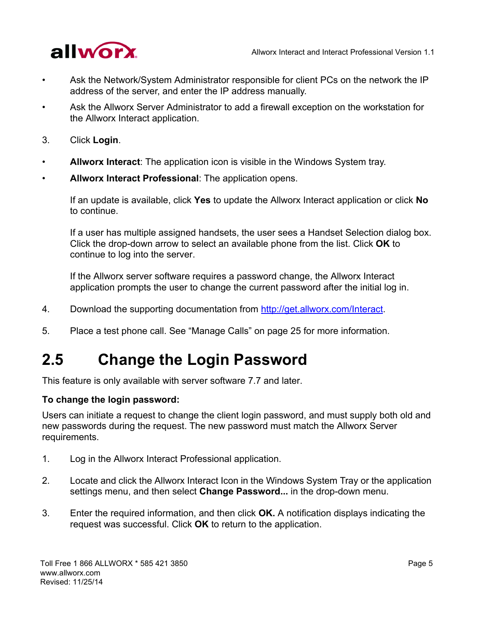

- Ask the Network/System Administrator responsible for client PCs on the network the IP address of the server, and enter the IP address manually.
- Ask the Allworx Server Administrator to add a firewall exception on the workstation for the Allworx Interact application.
- 3. Click **Login**.
- **Allworx Interact**: The application icon is visible in the Windows System tray.
- **Allworx Interact Professional**: The application opens.

If an update is available, click **Yes** to update the Allworx Interact application or click **No** to continue.

If a user has multiple assigned handsets, the user sees a Handset Selection dialog box. Click the drop-down arrow to select an available phone from the list. Click **OK** to continue to log into the server.

If the Allworx server software requires a password change, the Allworx Interact application prompts the user to change the current password after the initial log in.

- 4. Download the supporting documentation from http://get.allworx.com/Interact.
- <span id="page-12-1"></span>5. Place a test phone call. [See "Manage Calls" on page 25](#page-32-3) for more information.

### <span id="page-12-0"></span>**2.5 Change the Login Password**

This feature is only available with server software 7.7 and later.

#### **To change the login password:**

Users can initiate a request to change the client login password, and must supply both old and new passwords during the request. The new password must match the Allworx Server requirements.

- 1. Log in the Allworx Interact Professional application.
- 2. Locate and click the Allworx Interact Icon in the Windows System Tray or the application settings menu, and then select **Change Password...** in the drop-down menu.
- 3. Enter the required information, and then click **OK.** A notification displays indicating the request was successful. Click **OK** to return to the application.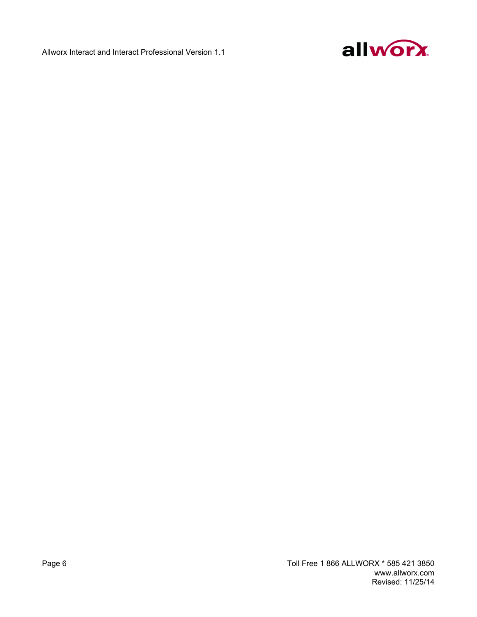

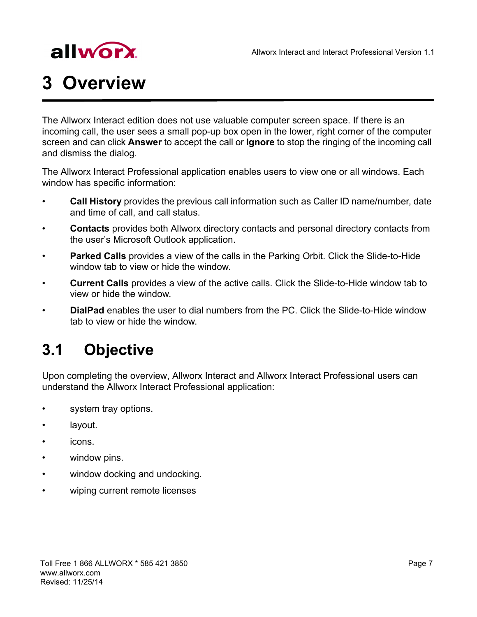

# <span id="page-14-0"></span>**3 Overview**

The Allworx Interact edition does not use valuable computer screen space. If there is an incoming call, the user sees a small pop-up box open in the lower, right corner of the computer screen and can click **Answer** to accept the call or **Ignore** to stop the ringing of the incoming call and dismiss the dialog.

The Allworx Interact Professional application enables users to view one or all windows. Each window has specific information:

- **Call History** provides the previous call information such as Caller ID name/number, date and time of call, and call status.
- **Contacts** provides both Allworx directory contacts and personal directory contacts from the user's Microsoft Outlook application.
- **Parked Calls** provides a view of the calls in the Parking Orbit. Click the Slide-to-Hide window tab to view or hide the window.
- **Current Calls** provides a view of the active calls. Click the Slide-to-Hide window tab to view or hide the window.
- **DialPad** enables the user to dial numbers from the PC. Click the Slide-to-Hide window tab to view or hide the window.

### <span id="page-14-1"></span>**3.1 Objective**

Upon completing the overview, Allworx Interact and Allworx Interact Professional users can understand the Allworx Interact Professional application:

- system tray options.
- layout.
- icons.
- window pins.
- window docking and undocking.
- wiping current remote licenses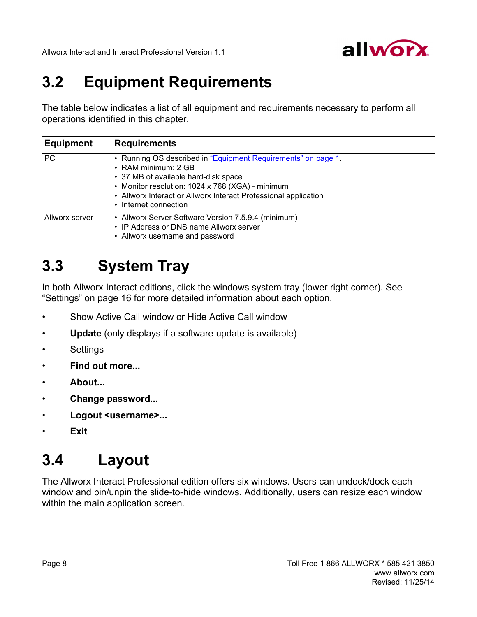

### <span id="page-15-0"></span>**3.2 Equipment Requirements**

The table below indicates a list of all equipment and requirements necessary to perform all operations identified in this chapter.

| <b>Equipment</b> | <b>Requirements</b>                                                                                                                                                                                                                                                                |
|------------------|------------------------------------------------------------------------------------------------------------------------------------------------------------------------------------------------------------------------------------------------------------------------------------|
| <b>PC</b>        | • Running OS described in "Equipment Requirements" on page 1.<br>$\cdot$ RAM minimum: 2 GB<br>• 37 MB of available hard-disk space<br>• Monitor resolution: 1024 x 768 (XGA) - minimum<br>• Allworx Interact or Allworx Interact Professional application<br>• Internet connection |
| Allworx server   | • Allworx Server Software Version 7.5.9.4 (minimum)<br>• IP Address or DNS name Allworx server<br>• Allworx username and password                                                                                                                                                  |

### <span id="page-15-1"></span>**3.3 System Tray**

In both Allworx Interact editions, click the windows system tray (lower right corner). See ["Settings" on page 16](#page-23-4) for more detailed information about each option.

- Show Active Call window or Hide Active Call window
- **Update** (only displays if a software update is available)
- Settings
- **Find out more...**
- **About...**
- **Change password...**
- **Logout <username>...**
- **Exit**

### <span id="page-15-2"></span>**3.4 Layout**

The Allworx Interact Professional edition offers six windows. Users can undock/dock each window and pin/unpin the slide-to-hide windows. Additionally, users can resize each window within the main application screen.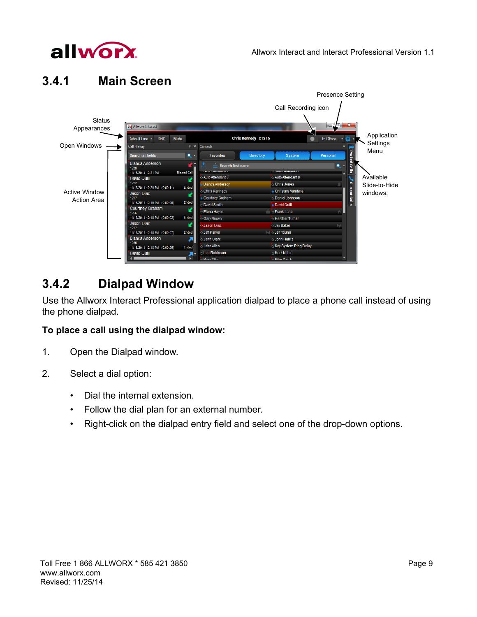

### <span id="page-16-0"></span>**3.4.1 Main Screen**



### <span id="page-16-1"></span>**3.4.2 Dialpad Window**

Use the Allworx Interact Professional application dialpad to place a phone call instead of using the phone dialpad.

#### **To place a call using the dialpad window:**

- 1. Open the Dialpad window.
- 2. Select a dial option:
	- Dial the internal extension.
	- Follow the dial plan for an external number.
	- Right-click on the dialpad entry field and select one of the drop-down options.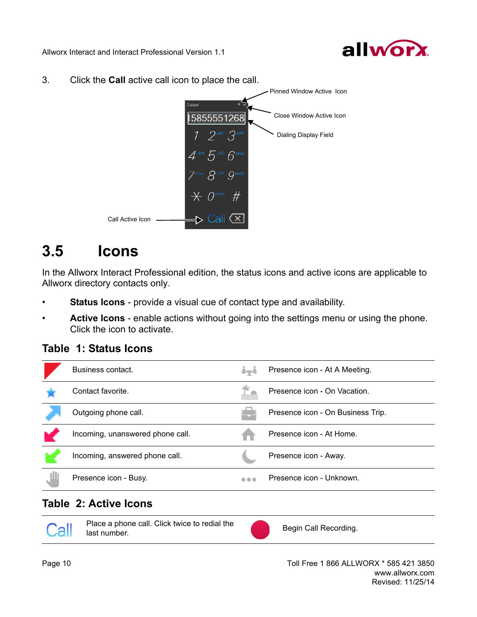

3. Click the **Call** active call icon to place the call.



### <span id="page-17-1"></span><span id="page-17-0"></span>**3.5 Icons**

In the Allworx Interact Professional edition, the status icons and active icons are applicable to Allworx directory contacts only.

- **Status Icons** provide a visual cue of contact type and availability.
- Active Icons enable actions without going into the settings menu or using the phone. Click the icon to activate.

**Table 1: Status Icons** 

| Business contact.                | A-A | Presence icon - At A Meeting.     |
|----------------------------------|-----|-----------------------------------|
| Contact favorite.                |     | Presence icon - On Vacation.      |
| Outgoing phone call.             |     | Presence icon - On Business Trip. |
| Incoming, unanswered phone call. |     | Presence icon - At Home.          |
| Incoming, answered phone call.   |     | Presence icon - Away.             |
| Presence icon - Busy.            |     | Presence icon - Unknown.          |

#### **Table 2: Active Icons**

Call

Place a phone call. Click twice to redial the last number.<br>Last number.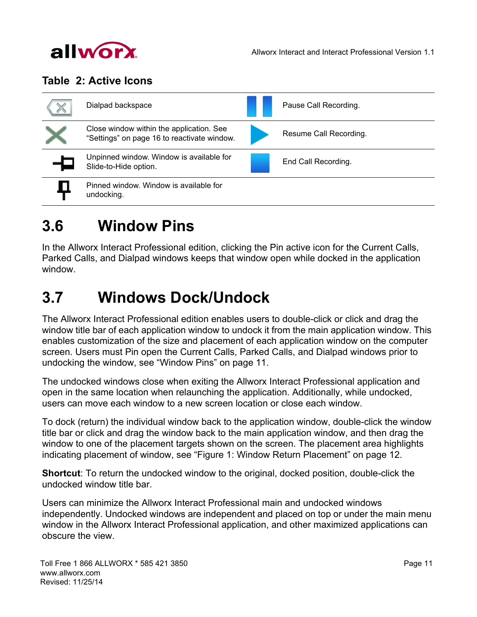

#### **Table 2: Active Icons**



### <span id="page-18-0"></span>**3.6 Window Pins**

In the Allworx Interact Professional edition, clicking the Pin active icon for the Current Calls, Parked Calls, and Dialpad windows keeps that window open while docked in the application window.

### <span id="page-18-2"></span><span id="page-18-1"></span>**3.7 Windows Dock/Undock**

The Allworx Interact Professional edition enables users to double-click or click and drag the window title bar of each application window to undock it from the main application window. This enables customization of the size and placement of each application window on the computer screen. Users must Pin open the Current Calls, Parked Calls, and Dialpad windows prior to undocking the window, [see "Window Pins" on page 11.](#page-18-0)

The undocked windows close when exiting the Allworx Interact Professional application and open in the same location when relaunching the application. Additionally, while undocked, users can move each window to a new screen location or close each window.

To dock (return) the individual window back to the application window, double-click the window title bar or click and drag the window back to the main application window, and then drag the window to one of the placement targets shown on the screen. The placement area highlights indicating placement of window, [see "Figure 1: Window Return Placement" on page 12](#page-19-1).

**Shortcut**: To return the undocked window to the original, docked position, double-click the undocked window title bar.

Users can minimize the Allworx Interact Professional main and undocked windows independently. Undocked windows are independent and placed on top or under the main menu window in the Allworx Interact Professional application, and other maximized applications can obscure the view.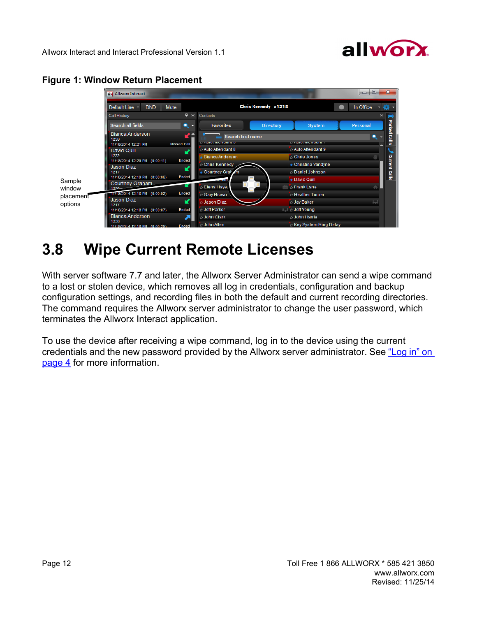



#### <span id="page-19-1"></span>**Figure 1: Window Return Placement**

### <span id="page-19-0"></span>**3.8 Wipe Current Remote Licenses**

With server software 7.7 and later, the Allworx Server Administrator can send a wipe command to a lost or stolen device, which removes all log in credentials, configuration and backup configuration settings, and recording files in both the default and current recording directories. The command requires the Allworx server administrator to change the user password, which terminates the Allworx Interact application.

To use the device after receiving a wipe command, log in to the device using the current credentials and the new password provided by the Allworx server administrator. See "Log in" on [page 4](#page-11-2) for more information.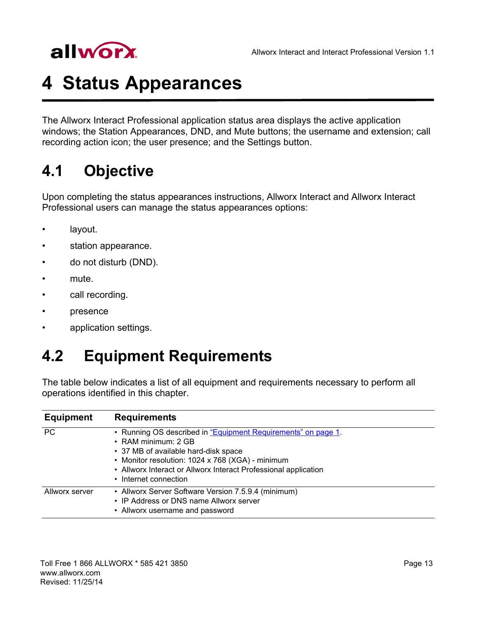

## <span id="page-20-0"></span>**4 Status Appearances**

The Allworx Interact Professional application status area displays the active application windows; the Station Appearances, DND, and Mute buttons; the username and extension; call recording action icon; the user presence; and the Settings button.

### <span id="page-20-1"></span>**4.1 Objective**

Upon completing the status appearances instructions, Allworx Interact and Allworx Interact Professional users can manage the status appearances options:

- layout.
- station appearance.
- do not disturb (DND).
- mute.
- call recording.
- presence
- application settings.

### <span id="page-20-2"></span>**4.2 Equipment Requirements**

The table below indicates a list of all equipment and requirements necessary to perform all operations identified in this chapter.

| <b>Equipment</b> | <b>Requirements</b>                                                                                                                                                                                                                                                                |
|------------------|------------------------------------------------------------------------------------------------------------------------------------------------------------------------------------------------------------------------------------------------------------------------------------|
| <b>PC</b>        | • Running OS described in "Equipment Requirements" on page 1.<br>$\cdot$ RAM minimum: 2 GB<br>• 37 MB of available hard-disk space<br>• Monitor resolution: 1024 x 768 (XGA) - minimum<br>• Allworx Interact or Allworx Interact Professional application<br>• Internet connection |
| Allworx server   | • Allworx Server Software Version 7.5.9.4 (minimum)<br>• IP Address or DNS name Allworx server<br>• Allworx username and password                                                                                                                                                  |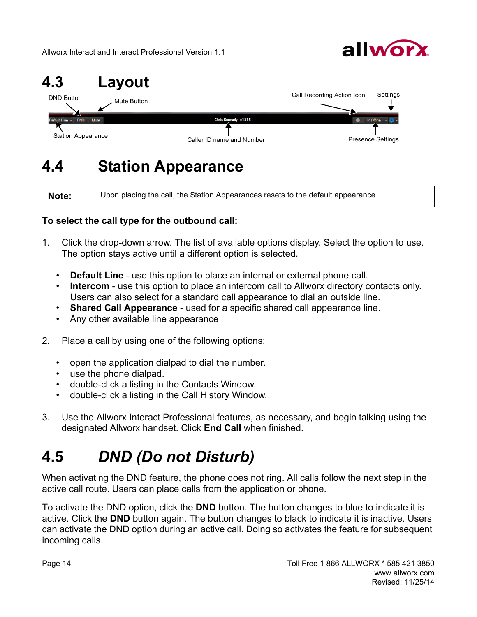

<span id="page-21-0"></span>

### <span id="page-21-1"></span>**4.4 Station Appearance**

**Note:** Upon placing the call, the Station Appearances resets to the default appearance.

#### **To select the call type for the outbound call:**

- 1. Click the drop-down arrow. The list of available options display. Select the option to use. The option stays active until a different option is selected.
	- **Default Line** use this option to place an internal or external phone call.
	- **Intercom** use this option to place an intercom call to Allworx directory contacts only. Users can also select for a standard call appearance to dial an outside line.
	- **Shared Call Appearance** used for a specific shared call appearance line.
	- Any other available line appearance
- 2. Place a call by using one of the following options:
	- open the application dialpad to dial the number.
	- use the phone dialpad.
	- double-click a listing in the Contacts Window.
	- double-click a listing in the Call History Window.
- 3. Use the Allworx Interact Professional features, as necessary, and begin talking using the designated Allworx handset. Click **End Call** when finished.

### <span id="page-21-2"></span>**4.5** *DND (Do not Disturb)*

When activating the DND feature, the phone does not ring. All calls follow the next step in the active call route. Users can place calls from the application or phone.

To activate the DND option, click the **DND** button. The button changes to blue to indicate it is active. Click the **DND** button again. The button changes to black to indicate it is inactive. Users can activate the DND option during an active call. Doing so activates the feature for subsequent incoming calls.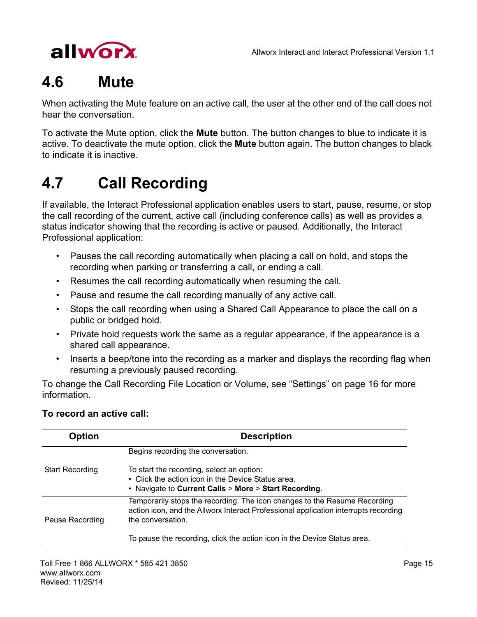

### <span id="page-22-0"></span>**4.6 Mute**

When activating the Mute feature on an active call, the user at the other end of the call does not hear the conversation.

To activate the Mute option, click the **Mute** button. The button changes to blue to indicate it is active. To deactivate the mute option, click the **Mute** button again. The button changes to black to indicate it is inactive.

### <span id="page-22-1"></span>**4.7 Call Recording**

If available, the Interact Professional application enables users to start, pause, resume, or stop the call recording of the current, active call (including conference calls) as well as provides a status indicator showing that the recording is active or paused. Additionally, the Interact Professional application:

- Pauses the call recording automatically when placing a call on hold, and stops the recording when parking or transferring a call, or ending a call.
- Resumes the call recording automatically when resuming the call.
- Pause and resume the call recording manually of any active call.
- Stops the call recording when using a Shared Call Appearance to place the call on a public or bridged hold.
- Private hold requests work the same as a regular appearance, if the appearance is a shared call appearance.
- Inserts a beep/tone into the recording as a marker and displays the recording flag when resuming a previously paused recording.

To change the Call Recording File Location or Volume, see ["Settings" on page 16](#page-23-1) for more information.

#### **To record an active call:**

| <b>Option</b>          | <b>Description</b>                                                                                                                                                                    |
|------------------------|---------------------------------------------------------------------------------------------------------------------------------------------------------------------------------------|
|                        | Begins recording the conversation.                                                                                                                                                    |
| <b>Start Recording</b> | To start the recording, select an option:<br>• Click the action icon in the Device Status area.<br>• Navigate to Current Calls > More > Start Recording.                              |
| Pause Recording        | Temporarily stops the recording. The icon changes to the Resume Recording<br>action icon, and the Allworx Interact Professional application interrupts recording<br>the conversation. |
|                        | To pause the recording, click the action icon in the Device Status area.                                                                                                              |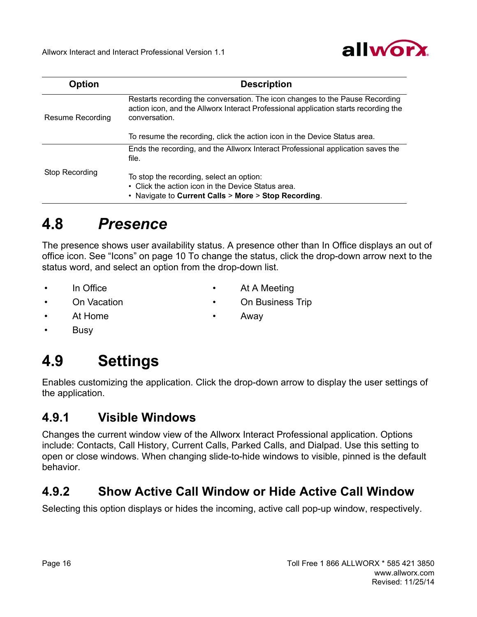

| <b>Option</b>    | <b>Description</b>                                                                                                                                                                   |  |  |
|------------------|--------------------------------------------------------------------------------------------------------------------------------------------------------------------------------------|--|--|
| Resume Recording | Restarts recording the conversation. The icon changes to the Pause Recording<br>action icon, and the Allworx Interact Professional application starts recording the<br>conversation. |  |  |
|                  | To resume the recording, click the action icon in the Device Status area.                                                                                                            |  |  |
|                  | Ends the recording, and the Allworx Interact Professional application saves the<br>file.                                                                                             |  |  |
| Stop Recording   | To stop the recording, select an option:<br>• Click the action icon in the Device Status area.<br>• Navigate to Current Calls > More > Stop Recording.                               |  |  |

### <span id="page-23-0"></span>**4.8** *Presence*

The presence shows user availability status. A presence other than In Office displays an out of office icon. See ["Icons" on page 10](#page-17-1) To change the status, click the drop-down arrow next to the status word, and select an option from the drop-down list.

- 
- In Office **•** At A Meeting
- On Vacation **•** On Business Trip
- At Home **•** Away
- 

<span id="page-23-4"></span>• Busy

### <span id="page-23-1"></span>**4.9 Settings**

Enables customizing the application. Click the drop-down arrow to display the user settings of the application.

#### <span id="page-23-2"></span>**4.9.1 Visible Windows**

Changes the current window view of the Allworx Interact Professional application. Options include: Contacts, Call History, Current Calls, Parked Calls, and Dialpad. Use this setting to open or close windows. When changing slide-to-hide windows to visible, pinned is the default behavior.

### <span id="page-23-3"></span>**4.9.2 Show Active Call Window or Hide Active Call Window**

Selecting this option displays or hides the incoming, active call pop-up window, respectively.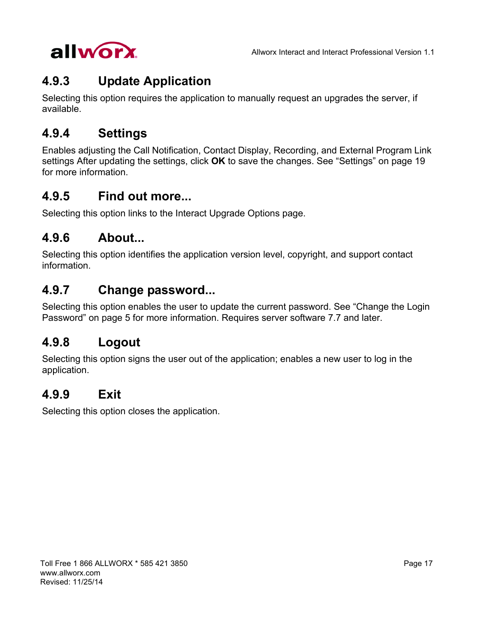

### <span id="page-24-0"></span>**4.9.3 Update Application**

Selecting this option requires the application to manually request an upgrades the server, if available.

#### <span id="page-24-1"></span>**4.9.4 Settings**

Enables adjusting the Call Notification, Contact Display, Recording, and External Program Link settings After updating the settings, click **OK** to save the changes. See ["Settings" on page 19](#page-26-3)  for more information.

#### <span id="page-24-2"></span>**4.9.5 Find out more...**

Selecting this option links to the Interact Upgrade Options page.

#### <span id="page-24-3"></span>**4.9.6 About...**

Selecting this option identifies the application version level, copyright, and support contact information.

#### <span id="page-24-4"></span>**4.9.7 Change password...**

Selecting this option enables the user to update the current password. See ["Change the Login](#page-12-1)  [Password" on page 5](#page-12-1) for more information. Requires server software 7.7 and later.

#### <span id="page-24-5"></span>**4.9.8 Logout**

Selecting this option signs the user out of the application; enables a new user to log in the application.

#### <span id="page-24-6"></span>**4.9.9 Exit**

Selecting this option closes the application.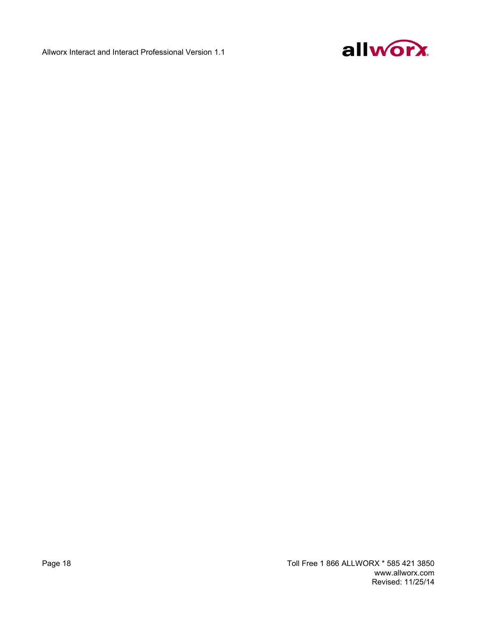

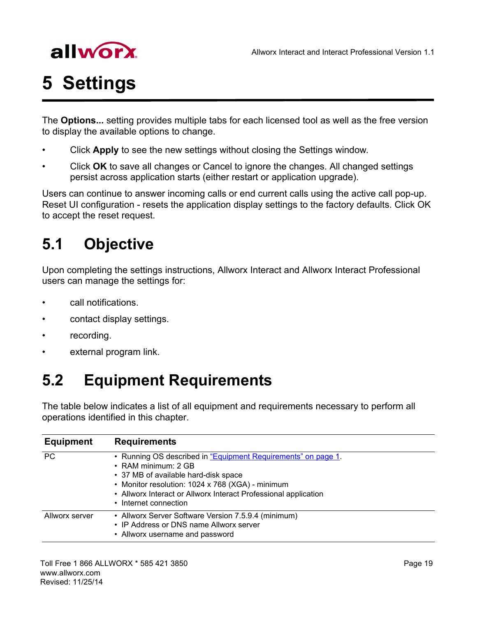

## <span id="page-26-3"></span><span id="page-26-0"></span>**5 Settings**

The **Options...** setting provides multiple tabs for each licensed tool as well as the free version to display the available options to change.

- Click **Apply** to see the new settings without closing the Settings window.
- Click **OK** to save all changes or Cancel to ignore the changes. All changed settings persist across application starts (either restart or application upgrade).

Users can continue to answer incoming calls or end current calls using the active call pop-up. Reset UI configuration - resets the application display settings to the factory defaults. Click OK to accept the reset request.

### <span id="page-26-1"></span>**5.1 Objective**

Upon completing the settings instructions, Allworx Interact and Allworx Interact Professional users can manage the settings for:

- call notifications.
- contact display settings.
- recording.
- external program link.

### <span id="page-26-2"></span>**5.2 Equipment Requirements**

The table below indicates a list of all equipment and requirements necessary to perform all operations identified in this chapter.

| <b>Equipment</b> | <b>Requirements</b>                                                                                                                                                                                                                                                                |
|------------------|------------------------------------------------------------------------------------------------------------------------------------------------------------------------------------------------------------------------------------------------------------------------------------|
| PC               | • Running OS described in "Equipment Requirements" on page 1.<br>$\cdot$ RAM minimum: 2 GB<br>• 37 MB of available hard-disk space<br>• Monitor resolution: 1024 x 768 (XGA) - minimum<br>• Allworx Interact or Allworx Interact Professional application<br>• Internet connection |
| Allworx server   | • Allworx Server Software Version 7.5.9.4 (minimum)<br>• IP Address or DNS name Allworx server<br>• Allworx username and password                                                                                                                                                  |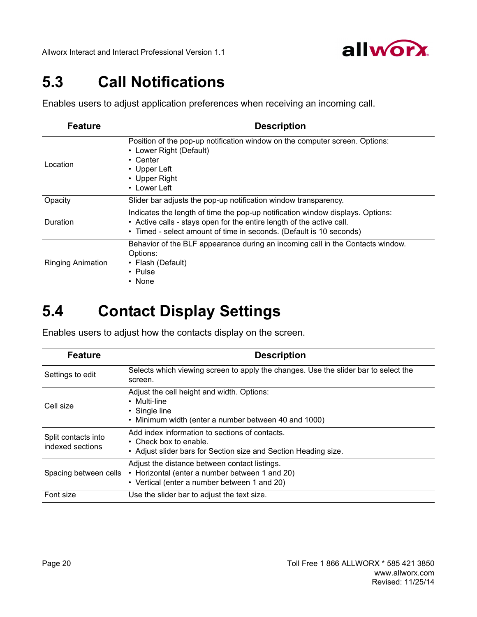

## <span id="page-27-0"></span>**5.3 Call Notifications**

Enables users to adjust application preferences when receiving an incoming call.

| <b>Feature</b>           | <b>Description</b>                                                                                                                                                                                                             |
|--------------------------|--------------------------------------------------------------------------------------------------------------------------------------------------------------------------------------------------------------------------------|
| Location                 | Position of the pop-up notification window on the computer screen. Options:<br>• Lower Right (Default)<br>$\cdot$ Center<br>• Upper Left<br>• Upper Right<br>• Lower Left                                                      |
| Opacity                  | Slider bar adjusts the pop-up notification window transparency.                                                                                                                                                                |
| Duration                 | Indicates the length of time the pop-up notification window displays. Options:<br>• Active calls - stays open for the entire length of the active call.<br>• Timed - select amount of time in seconds. (Default is 10 seconds) |
| <b>Ringing Animation</b> | Behavior of the BLF appearance during an incoming call in the Contacts window.<br>Options:<br>• Flash (Default)<br>• Pulse<br>• None                                                                                           |

### <span id="page-27-1"></span>**5.4 Contact Display Settings**

Enables users to adjust how the contacts display on the screen.

| <b>Feature</b>                          | <b>Description</b>                                                                                                                                |
|-----------------------------------------|---------------------------------------------------------------------------------------------------------------------------------------------------|
| Settings to edit                        | Selects which viewing screen to apply the changes. Use the slider bar to select the<br>screen.                                                    |
| Cell size                               | Adjust the cell height and width. Options:<br>• Multi-line<br>$\cdot$ Single line<br>• Minimum width (enter a number between 40 and 1000)         |
| Split contacts into<br>indexed sections | Add index information to sections of contacts.<br>$\cdot$ Check box to enable.<br>• Adjust slider bars for Section size and Section Heading size. |
| Spacing between cells                   | Adjust the distance between contact listings.<br>• Horizontal (enter a number between 1 and 20)<br>• Vertical (enter a number between 1 and 20)   |
| Font size                               | Use the slider bar to adjust the text size.                                                                                                       |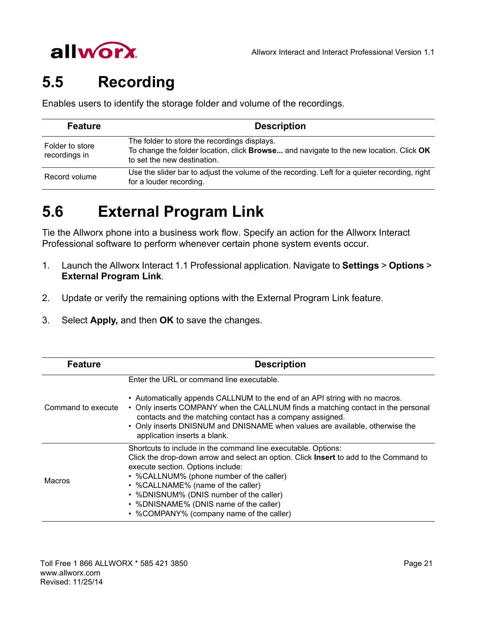<span id="page-28-2"></span>

### <span id="page-28-0"></span>**5.5 Recording**

Enables users to identify the storage folder and volume of the recordings.

| <b>Feature</b>                   | <b>Description</b>                                                                                                                                                    |
|----------------------------------|-----------------------------------------------------------------------------------------------------------------------------------------------------------------------|
| Folder to store<br>recordings in | The folder to store the recordings displays.<br>To change the folder location, click Browse and navigate to the new location. Click OK<br>to set the new destination. |
| Record volume                    | Use the slider bar to adjust the volume of the recording. Left for a quieter recording, right<br>for a louder recording.                                              |

### <span id="page-28-1"></span>**5.6 External Program Link**

Tie the Allworx phone into a business work flow. Specify an action for the Allworx Interact Professional software to perform whenever certain phone system events occur.

- 1. Launch the Allworx Interact 1.1 Professional application. Navigate to **Settings** > **Options** > **External Program Link**.
- 2. Update or verify the remaining options with the External Program Link feature.
- 3. Select **Apply,** and then **OK** to save the changes.

| <b>Feature</b>     | <b>Description</b>                                                                                                                                                                                                                                                                                                                                                                                            |
|--------------------|---------------------------------------------------------------------------------------------------------------------------------------------------------------------------------------------------------------------------------------------------------------------------------------------------------------------------------------------------------------------------------------------------------------|
| Command to execute | Enter the URL or command line executable.<br>• Automatically appends CALLNUM to the end of an API string with no macros.<br>• Only inserts COMPANY when the CALLNUM finds a matching contact in the personal<br>contacts and the matching contact has a company assigned.<br>• Only inserts DNISNUM and DNISNAME when values are available, otherwise the<br>application inserts a blank.                     |
| Macros             | Shortcuts to include in the command line executable. Options:<br>Click the drop-down arrow and select an option. Click Insert to add to the Command to<br>execute section. Options include:<br>• %CALLNUM% (phone number of the caller)<br>• %CALLNAME% (name of the caller)<br>• %DNISNUM% (DNIS number of the caller)<br>• %DNISNAME% (DNIS name of the caller)<br>• %COMPANY% (company name of the caller) |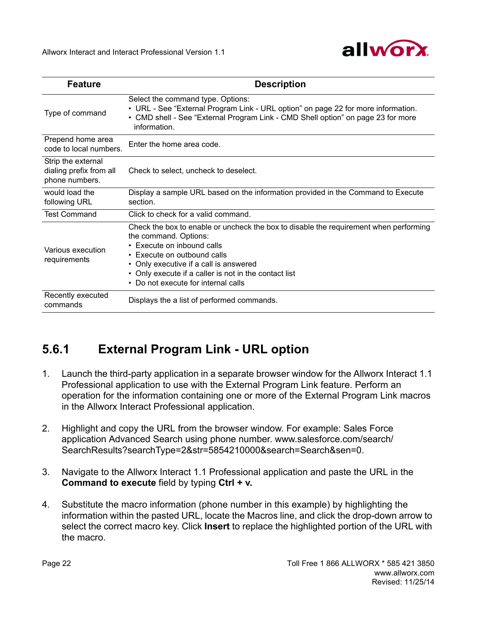

| <b>Feature</b>                                                  | <b>Description</b>                                                                                                                                                                                                                                                                                                          |
|-----------------------------------------------------------------|-----------------------------------------------------------------------------------------------------------------------------------------------------------------------------------------------------------------------------------------------------------------------------------------------------------------------------|
| Type of command                                                 | Select the command type. Options:<br>• URL - See "External Program Link - URL option" on page 22 for more information.<br>• CMD shell - See "External Program Link - CMD Shell option" on page 23 for more<br>information.                                                                                                  |
| Prepend home area<br>code to local numbers.                     | Enter the home area code.                                                                                                                                                                                                                                                                                                   |
| Strip the external<br>dialing prefix from all<br>phone numbers. | Check to select, uncheck to deselect.                                                                                                                                                                                                                                                                                       |
| would load the<br>following URL                                 | Display a sample URL based on the information provided in the Command to Execute<br>section.                                                                                                                                                                                                                                |
| <b>Test Command</b>                                             | Click to check for a valid command.                                                                                                                                                                                                                                                                                         |
| Various execution<br>requirements                               | Check the box to enable or uncheck the box to disable the requirement when performing<br>the command. Options:<br>• Execute on inbound calls<br>$\cdot$ Execute on outbound calls<br>• Only executive if a call is answered<br>• Only execute if a caller is not in the contact list<br>• Do not execute for internal calls |
| Recently executed<br>commands                                   | Displays the a list of performed commands.                                                                                                                                                                                                                                                                                  |

#### <span id="page-29-0"></span>**5.6.1 External Program Link - URL option**

- [1. Launch the third-party application in a separate browser window for the Allworx Interact 1.1](https://na13.salesforce.com/search/SearchResults?searchType=2&str=5854210000&search=Search&sen=0)  Professional application to use with the External Program Link feature. Perform an operation for the information containing one or more of the External Program Link macros in the Allworx Interact Professional application.
- 2. Highlight and copy the URL from the browser window. For example: Sales Force application Advanced Search using phone number. www.salesforce.com/search/ SearchResults?searchType=2&str=5854210000&search=Search&sen=0.
- 3. Navigate to the Allworx Interact 1.1 Professional application and paste the URL in the **Command to execute** field by typing **Ctrl + v.**
- 4. Substitute the macro information (phone number in this example) by highlighting the information within the pasted URL, locate the Macros line, and click the drop-down arrow to select the correct macro key. Click **Insert** to replace the highlighted portion of the URL with the macro.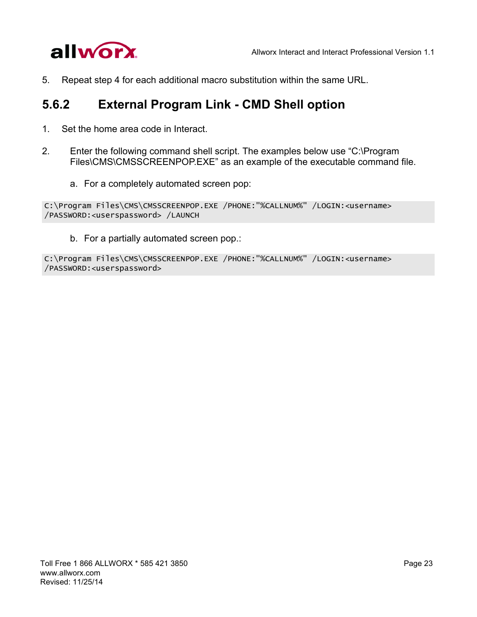

5. Repeat step 4 for each additional macro substitution within the same URL.

#### <span id="page-30-0"></span>**5.6.2 External Program Link - CMD Shell option**

- 1. Set the home area code in Interact.
- 2. Enter the following command shell script. The examples below use "C:\Program Files\CMS\CMSSCREENPOP.EXE" as an example of the executable command file.
	- a. For a completely automated screen pop:

C:\Program Files\CMS\CMSSCREENPOP.EXE /PHONE:"%CALLNUM%" /LOGIN:<username> /PASSWORD:<userspassword> /LAUNCH

b. For a partially automated screen pop.:

C:\Program Files\CMS\CMSSCREENPOP.EXE /PHONE:"%CALLNUM%" /LOGIN:<username> /PASSWORD:<userspassword>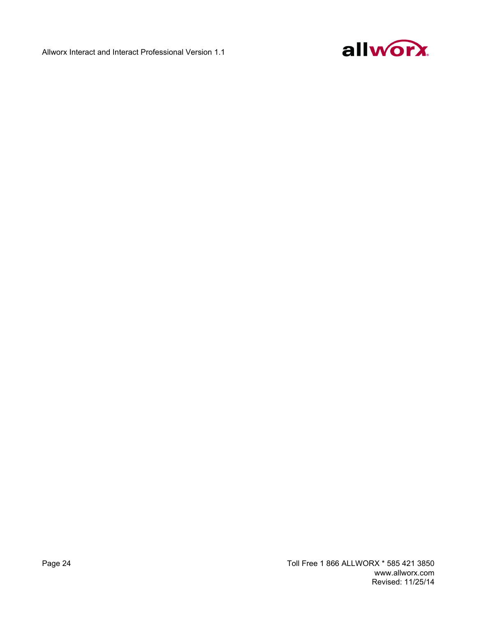

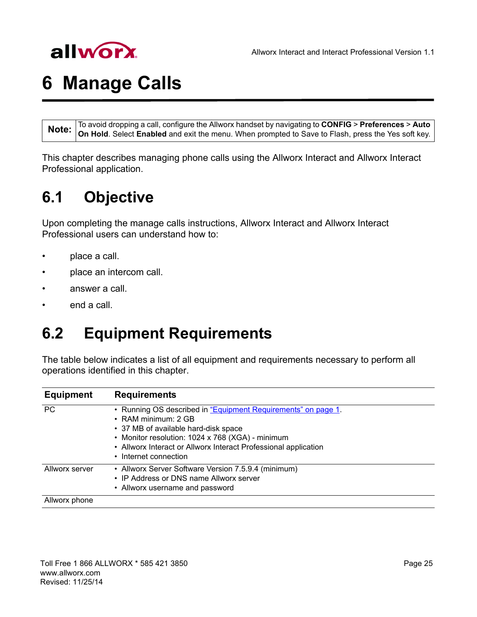

## <span id="page-32-3"></span><span id="page-32-0"></span>**6 Manage Calls**

**Note:** To avoid dropping a call, configure the Allworx handset by navigating to **CONFIG** > **Preferences** > **Auto On Hold**. Select **Enabled** and exit the menu. When prompted to Save to Flash, press the Yes soft key.

This chapter describes managing phone calls using the Allworx Interact and Allworx Interact Professional application.

### <span id="page-32-1"></span>**6.1 Objective**

Upon completing the manage calls instructions, Allworx Interact and Allworx Interact Professional users can understand how to:

- place a call.
- place an intercom call.
- answer a call.
- end a call.

### <span id="page-32-2"></span>**6.2 Equipment Requirements**

The table below indicates a list of all equipment and requirements necessary to perform all operations identified in this chapter.

| <b>Equipment</b> | <b>Requirements</b>                                                                                                                                                                                                                                                                |
|------------------|------------------------------------------------------------------------------------------------------------------------------------------------------------------------------------------------------------------------------------------------------------------------------------|
| <b>PC</b>        | • Running OS described in "Equipment Requirements" on page 1.<br>$\cdot$ RAM minimum: 2 GB<br>• 37 MB of available hard-disk space<br>• Monitor resolution: 1024 x 768 (XGA) - minimum<br>• Allworx Interact or Allworx Interact Professional application<br>• Internet connection |
| Allworx server   | • Allworx Server Software Version 7.5.9.4 (minimum)<br>• IP Address or DNS name Allworx server<br>• Allworx username and password                                                                                                                                                  |
| Allworx phone    |                                                                                                                                                                                                                                                                                    |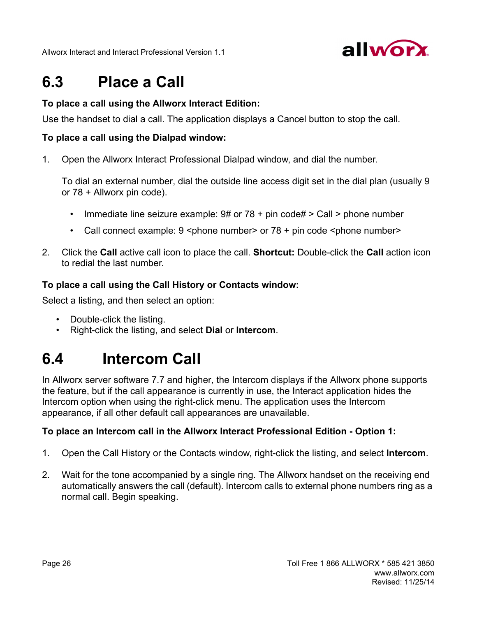

### <span id="page-33-0"></span>**6.3 Place a Call**

#### **To place a call using the Allworx Interact Edition:**

Use the handset to dial a call. The application displays a Cancel button to stop the call.

#### **To place a call using the Dialpad window:**

1. Open the Allworx Interact Professional Dialpad window, and dial the number.

To dial an external number, dial the outside line access digit set in the dial plan (usually 9 or 78 + Allworx pin code).

- Immediate line seizure example: 9# or 78 + pin code# > Call > phone number
- Call connect example:  $9$  <phone number > or  $78 + p$  in code <phone number >
- 2. Click the **Call** active call icon to place the call. **Shortcut:** Double-click the **Call** action icon to redial the last number.

#### **To place a call using the Call History or Contacts window:**

Select a listing, and then select an option:

- Double-click the listing.
- Right-click the listing, and select **Dial** or **Intercom**.

### <span id="page-33-1"></span>**6.4 Intercom Call**

In Allworx server software 7.7 and higher, the Intercom displays if the Allworx phone supports the feature, but if the call appearance is currently in use, the Interact application hides the Intercom option when using the right-click menu. The application uses the Intercom appearance, if all other default call appearances are unavailable.

#### **To place an Intercom call in the Allworx Interact Professional Edition - Option 1:**

- 1. Open the Call History or the Contacts window, right-click the listing, and select **Intercom**.
- 2. Wait for the tone accompanied by a single ring. The Allworx handset on the receiving end automatically answers the call (default). Intercom calls to external phone numbers ring as a normal call. Begin speaking.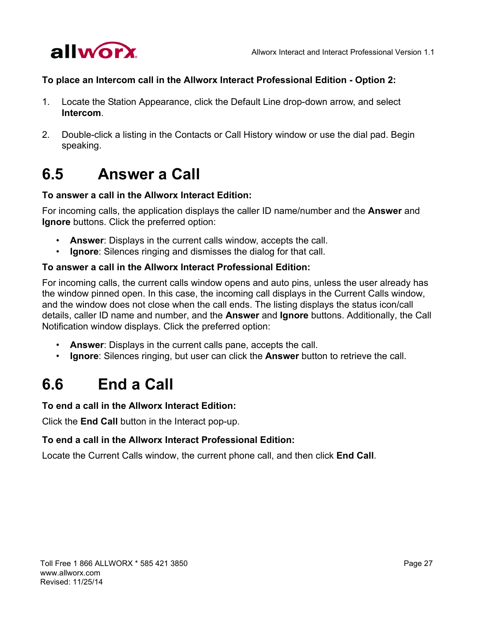

#### **To place an Intercom call in the Allworx Interact Professional Edition - Option 2:**

- 1. Locate the Station Appearance, click the Default Line drop-down arrow, and select **Intercom**.
- 2. Double-click a listing in the Contacts or Call History window or use the dial pad. Begin speaking.

### <span id="page-34-0"></span>**6.5 Answer a Call**

#### **To answer a call in the Allworx Interact Edition:**

For incoming calls, the application displays the caller ID name/number and the **Answer** and **Ignore** buttons. Click the preferred option:

- **Answer**: Displays in the current calls window, accepts the call.
- **Ignore**: Silences ringing and dismisses the dialog for that call.

#### **To answer a call in the Allworx Interact Professional Edition:**

For incoming calls, the current calls window opens and auto pins, unless the user already has the window pinned open. In this case, the incoming call displays in the Current Calls window, and the window does not close when the call ends. The listing displays the status icon/call details, caller ID name and number, and the **Answer** and **Ignore** buttons. Additionally, the Call Notification window displays. Click the preferred option:

- **Answer**: Displays in the current calls pane, accepts the call.
- **Ignore**: Silences ringing, but user can click the **Answer** button to retrieve the call.

### <span id="page-34-1"></span>**6.6 End a Call**

#### **To end a call in the Allworx Interact Edition:**

Click the **End Call** button in the Interact pop-up.

#### **To end a call in the Allworx Interact Professional Edition:**

Locate the Current Calls window, the current phone call, and then click **End Call**.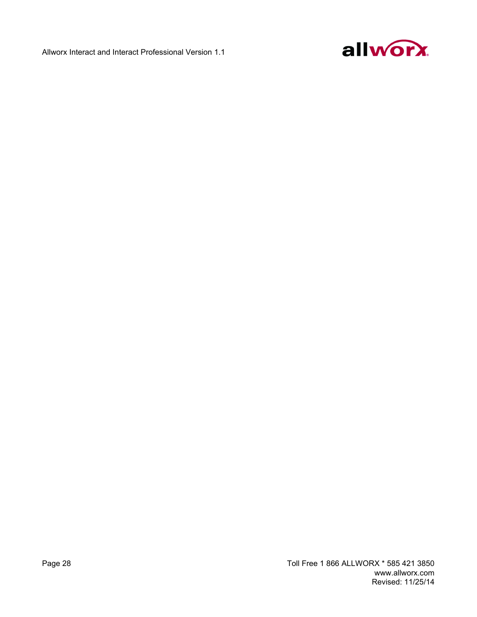

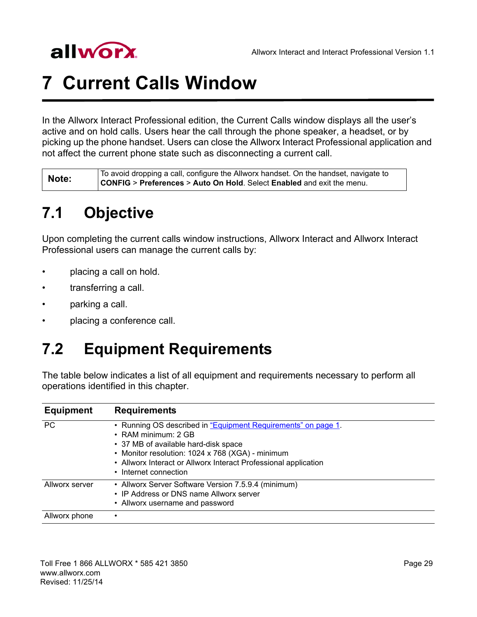

## <span id="page-36-0"></span>**7 Current Calls Window**

In the Allworx Interact Professional edition, the Current Calls window displays all the user's active and on hold calls. Users hear the call through the phone speaker, a headset, or by picking up the phone handset. Users can close the Allworx Interact Professional application and not affect the current phone state such as disconnecting a current call.

**Note:** To avoid dropping a call, configure the Allworx handset. On the handset, navigate to **Note: CONFIG** > **Preferences** > **Auto On Hold**. Select **Enabled** and exit the menu.

### <span id="page-36-1"></span>**7.1 Objective**

Upon completing the current calls window instructions, Allworx Interact and Allworx Interact Professional users can manage the current calls by:

- placing a call on hold.
- transferring a call.
- parking a call.
- placing a conference call.

### <span id="page-36-2"></span>**7.2 Equipment Requirements**

The table below indicates a list of all equipment and requirements necessary to perform all operations identified in this chapter.

| <b>Equipment</b> | <b>Requirements</b>                                                                                                                                                                                                                                                                |
|------------------|------------------------------------------------------------------------------------------------------------------------------------------------------------------------------------------------------------------------------------------------------------------------------------|
| <b>PC</b>        | • Running OS described in "Equipment Requirements" on page 1.<br>$\cdot$ RAM minimum: 2 GB<br>• 37 MB of available hard-disk space<br>• Monitor resolution: 1024 x 768 (XGA) - minimum<br>• Allworx Interact or Allworx Interact Professional application<br>• Internet connection |
| Allworx server   | • Allworx Server Software Version 7.5.9.4 (minimum)<br>• IP Address or DNS name Allworx server<br>• Allworx username and password                                                                                                                                                  |
| Allworx phone    |                                                                                                                                                                                                                                                                                    |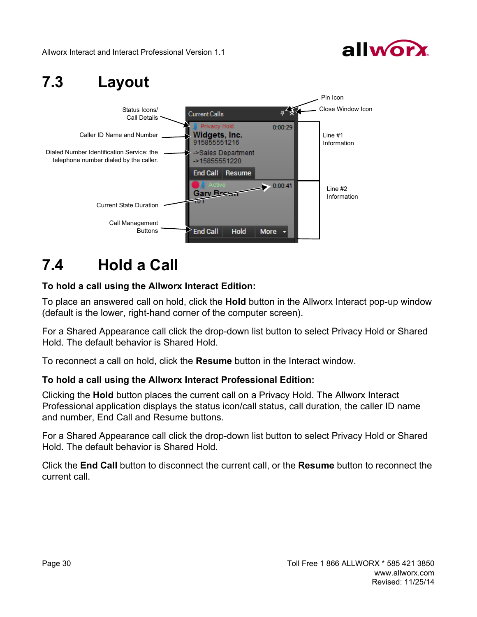

### <span id="page-37-0"></span>**7.3 Layout**



### <span id="page-37-1"></span>**7.4 Hold a Call**

#### **To hold a call using the Allworx Interact Edition:**

To place an answered call on hold, click the **Hold** button in the Allworx Interact pop-up window (default is the lower, right-hand corner of the computer screen).

For a Shared Appearance call click the drop-down list button to select Privacy Hold or Shared Hold. The default behavior is Shared Hold.

To reconnect a call on hold, click the **Resume** button in the Interact window.

#### **To hold a call using the Allworx Interact Professional Edition:**

Clicking the **Hold** button places the current call on a Privacy Hold. The Allworx Interact Professional application displays the status icon/call status, call duration, the caller ID name and number, End Call and Resume buttons.

For a Shared Appearance call click the drop-down list button to select Privacy Hold or Shared Hold. The default behavior is Shared Hold.

Click the **End Call** button to disconnect the current call, or the **Resume** button to reconnect the current call.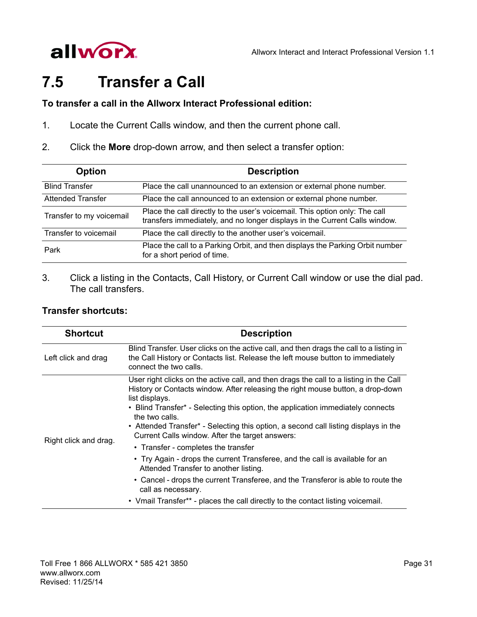

### <span id="page-38-0"></span>**7.5 Transfer a Call**

**To transfer a call in the Allworx Interact Professional edition:**

- 1. Locate the Current Calls window, and then the current phone call.
- 2. Click the **More** drop-down arrow, and then select a transfer option:

| <b>Option</b>            | <b>Description</b>                                                                                                                                        |
|--------------------------|-----------------------------------------------------------------------------------------------------------------------------------------------------------|
| <b>Blind Transfer</b>    | Place the call unannounced to an extension or external phone number.                                                                                      |
| <b>Attended Transfer</b> | Place the call announced to an extension or external phone number.                                                                                        |
| Transfer to my voicemail | Place the call directly to the user's voicemail. This option only: The call<br>transfers immediately, and no longer displays in the Current Calls window. |
| Transfer to voicemail    | Place the call directly to the another user's voicemail.                                                                                                  |
| Park                     | Place the call to a Parking Orbit, and then displays the Parking Orbit number<br>for a short period of time.                                              |

3. Click a listing in the Contacts, Call History, or Current Call window or use the dial pad. The call transfers.

| <b>Shortcut</b>       | <b>Description</b>                                                                                                                                                                                                                                                                                                                                                                                                                                                                |
|-----------------------|-----------------------------------------------------------------------------------------------------------------------------------------------------------------------------------------------------------------------------------------------------------------------------------------------------------------------------------------------------------------------------------------------------------------------------------------------------------------------------------|
| Left click and drag   | Blind Transfer. User clicks on the active call, and then drags the call to a listing in<br>the Call History or Contacts list. Release the left mouse button to immediately<br>connect the two calls.                                                                                                                                                                                                                                                                              |
| Right click and drag. | User right clicks on the active call, and then drags the call to a listing in the Call<br>History or Contacts window. After releasing the right mouse button, a drop-down<br>list displays.<br>• Blind Transfer* - Selecting this option, the application immediately connects<br>the two calls.<br>• Attended Transfer* - Selecting this option, a second call listing displays in the<br>Current Calls window. After the target answers:<br>• Transfer - completes the transfer |
|                       | • Try Again - drops the current Transferee, and the call is available for an<br>Attended Transfer to another listing.                                                                                                                                                                                                                                                                                                                                                             |
|                       | • Cancel - drops the current Transferee, and the Transferor is able to route the<br>call as necessary.                                                                                                                                                                                                                                                                                                                                                                            |
|                       | • Vmail Transfer** - places the call directly to the contact listing voicemail.                                                                                                                                                                                                                                                                                                                                                                                                   |

#### **Transfer shortcuts:**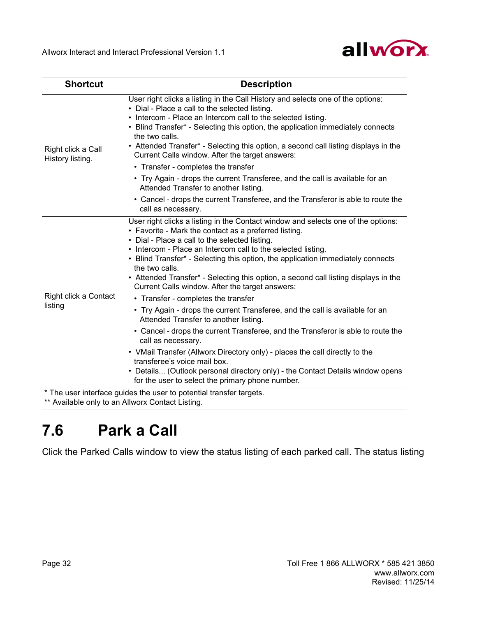allworx.

Allworx Interact and Interact Professional Version 1.1

| <b>Description</b>                                                                                                                                                                                                                                                                                                                                                                                                                                                                                                                               |
|--------------------------------------------------------------------------------------------------------------------------------------------------------------------------------------------------------------------------------------------------------------------------------------------------------------------------------------------------------------------------------------------------------------------------------------------------------------------------------------------------------------------------------------------------|
| User right clicks a listing in the Call History and selects one of the options:<br>• Dial - Place a call to the selected listing.<br>Intercom - Place an Intercom call to the selected listing.<br>• Blind Transfer* - Selecting this option, the application immediately connects<br>the two calls.<br>• Attended Transfer* - Selecting this option, a second call listing displays in the<br>Current Calls window. After the target answers:                                                                                                   |
| • Transfer - completes the transfer<br>• Try Again - drops the current Transferee, and the call is available for an<br>Attended Transfer to another listing.                                                                                                                                                                                                                                                                                                                                                                                     |
| • Cancel - drops the current Transferee, and the Transferor is able to route the<br>call as necessary.                                                                                                                                                                                                                                                                                                                                                                                                                                           |
| User right clicks a listing in the Contact window and selects one of the options:<br>• Favorite - Mark the contact as a preferred listing.<br>• Dial - Place a call to the selected listing.<br>Intercom - Place an Intercom call to the selected listing.<br>• Blind Transfer* - Selecting this option, the application immediately connects<br>the two calls.<br>• Attended Transfer* - Selecting this option, a second call listing displays in the<br>Current Calls window. After the target answers:<br>• Transfer - completes the transfer |
| • Try Again - drops the current Transferee, and the call is available for an<br>Attended Transfer to another listing.<br>• Cancel - drops the current Transferee, and the Transferor is able to route the<br>call as necessary.                                                                                                                                                                                                                                                                                                                  |
| • VMail Transfer (Allworx Directory only) - places the call directly to the<br>transferee's voice mail box.<br>• Details (Outlook personal directory only) - the Contact Details window opens<br>for the user to select the primary phone number.                                                                                                                                                                                                                                                                                                |
|                                                                                                                                                                                                                                                                                                                                                                                                                                                                                                                                                  |

### <span id="page-39-0"></span>**7.6 Park a Call**

Click the Parked Calls window to view the status listing of each parked call. The status listing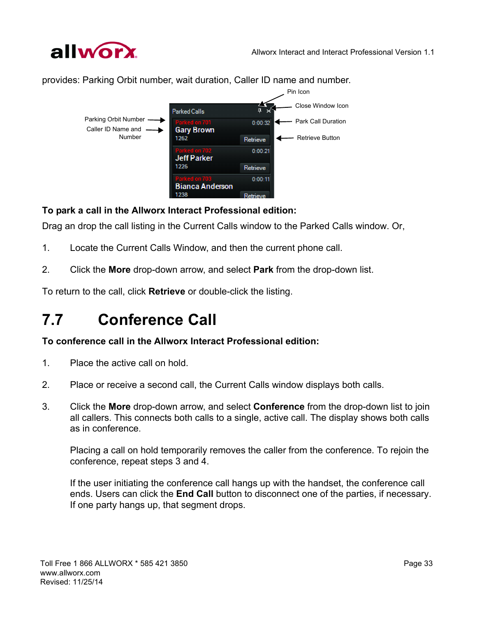

Pin IconClose Window Icon Parked Calls Parking Orbit Number Park Call Duration  $0:00:32$ Caller ID Name and **Gary Brown** Number Retrieve Button 1262 Retrieve  $0:00:21$ **Jeff Parker** 1226 Retrieve  $0:00:11$ **Bianca Anderson** 1238

provides: Parking Orbit number, wait duration, Caller ID name and number.

#### **To park a call in the Allworx Interact Professional edition:**

Drag an drop the call listing in the Current Calls window to the Parked Calls window. Or,

- 1. Locate the Current Calls Window, and then the current phone call.
- 2. Click the **More** drop-down arrow, and select **Park** from the drop-down list.

To return to the call, click **Retrieve** or double-click the listing.

### <span id="page-40-0"></span>**7.7 Conference Call**

#### **To conference call in the Allworx Interact Professional edition:**

- 1. Place the active call on hold.
- 2. Place or receive a second call, the Current Calls window displays both calls.
- 3. Click the **More** drop-down arrow, and select **Conference** from the drop-down list to join all callers. This connects both calls to a single, active call. The display shows both calls as in conference.

Placing a call on hold temporarily removes the caller from the conference. To rejoin the conference, repeat steps 3 and 4.

If the user initiating the conference call hangs up with the handset, the conference call ends. Users can click the **End Call** button to disconnect one of the parties, if necessary. If one party hangs up, that segment drops.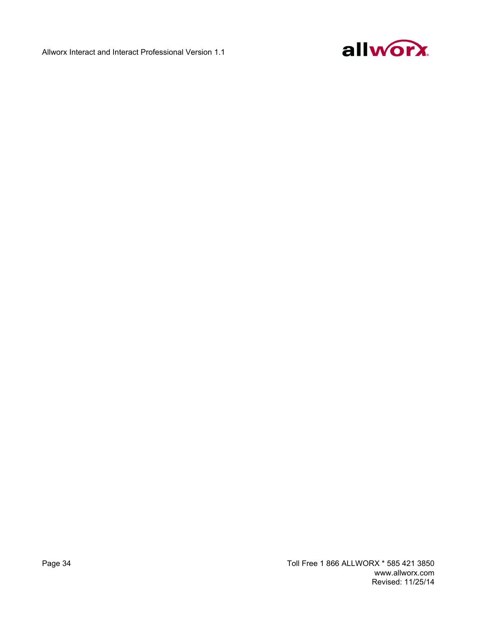

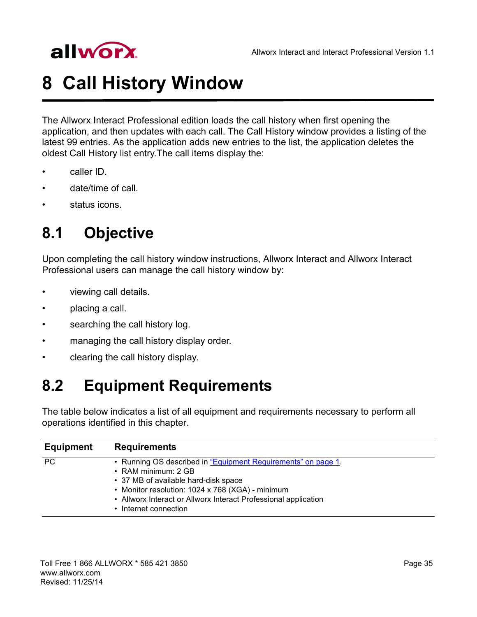

## <span id="page-42-0"></span>**8 Call History Window**

The Allworx Interact Professional edition loads the call history when first opening the application, and then updates with each call. The Call History window provides a listing of the latest 99 entries. As the application adds new entries to the list, the application deletes the oldest Call History list entry.The call items display the:

- caller ID.
- date/time of call.
- status icons.

### <span id="page-42-1"></span>**8.1 Objective**

Upon completing the call history window instructions, Allworx Interact and Allworx Interact Professional users can manage the call history window by:

- viewing call details.
- placing a call.
- searching the call history log.
- managing the call history display order.
- clearing the call history display.

### <span id="page-42-2"></span>**8.2 Equipment Requirements**

The table below indicates a list of all equipment and requirements necessary to perform all operations identified in this chapter.

| <b>Equipment</b> | <b>Requirements</b>                                                                                                                                                                                                                                                          |
|------------------|------------------------------------------------------------------------------------------------------------------------------------------------------------------------------------------------------------------------------------------------------------------------------|
| <b>PC</b>        | • Running OS described in "Equipment Requirements" on page 1.<br>• RAM minimum: 2 GB<br>• 37 MB of available hard-disk space<br>• Monitor resolution: 1024 x 768 (XGA) - minimum<br>• Allworx Interact or Allworx Interact Professional application<br>• Internet connection |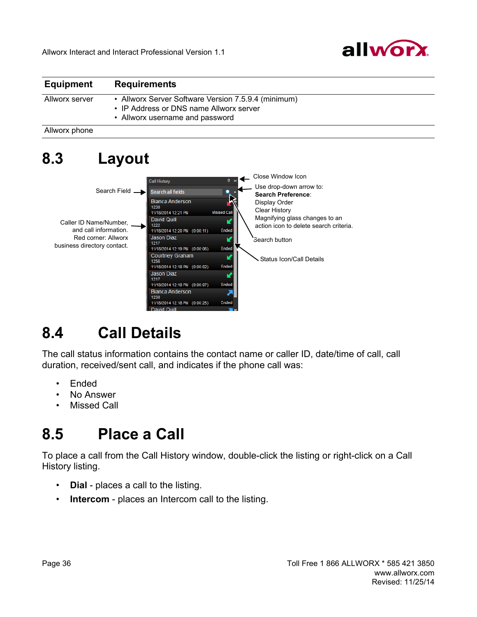

| <b>Equipment</b> | <b>Requirements</b>                                                                                                               |
|------------------|-----------------------------------------------------------------------------------------------------------------------------------|
| Allworx server   | • Allworx Server Software Version 7.5.9.4 (minimum)<br>• IP Address or DNS name Allworx server<br>• Allworx username and password |
| Allworx phone    |                                                                                                                                   |

### <span id="page-43-0"></span>**8.3 Layout**



### <span id="page-43-1"></span>**8.4 Call Details**

The call status information contains the contact name or caller ID, date/time of call, call duration, received/sent call, and indicates if the phone call was:

- Ended
- No Answer
- Missed Call

### <span id="page-43-2"></span>**8.5 Place a Call**

To place a call from the Call History window, double-click the listing or right-click on a Call History listing.

- **Dial** places a call to the listing.
- **Intercom** places an Intercom call to the listing.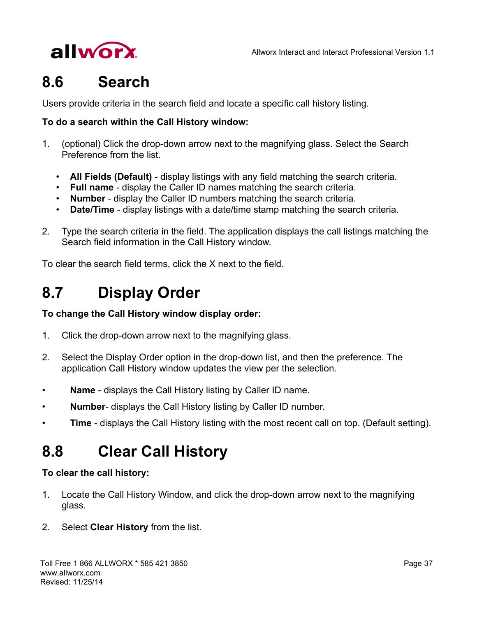

### <span id="page-44-0"></span>**8.6 Search**

Users provide criteria in the search field and locate a specific call history listing.

#### **To do a search within the Call History window:**

- 1. (optional) Click the drop-down arrow next to the magnifying glass. Select the Search Preference from the list.
	- **All Fields (Default)** display listings with any field matching the search criteria.
	- **Full name** display the Caller ID names matching the search criteria.
	- **Number** display the Caller ID numbers matching the search criteria.
	- **Date/Time** display listings with a date/time stamp matching the search criteria.
- 2. Type the search criteria in the field. The application displays the call listings matching the Search field information in the Call History window.

To clear the search field terms, click the X next to the field.

### <span id="page-44-1"></span>**8.7 Display Order**

#### **To change the Call History window display order:**

- 1. Click the drop-down arrow next to the magnifying glass.
- 2. Select the Display Order option in the drop-down list, and then the preference. The application Call History window updates the view per the selection.
- **Name** displays the Call History listing by Caller ID name.
- **Number** displays the Call History listing by Caller ID number.
- **Time** displays the Call History listing with the most recent call on top. (Default setting).

### <span id="page-44-2"></span>**8.8 Clear Call History**

#### **To clear the call history:**

- 1. Locate the Call History Window, and click the drop-down arrow next to the magnifying glass.
- 2. Select **Clear History** from the list.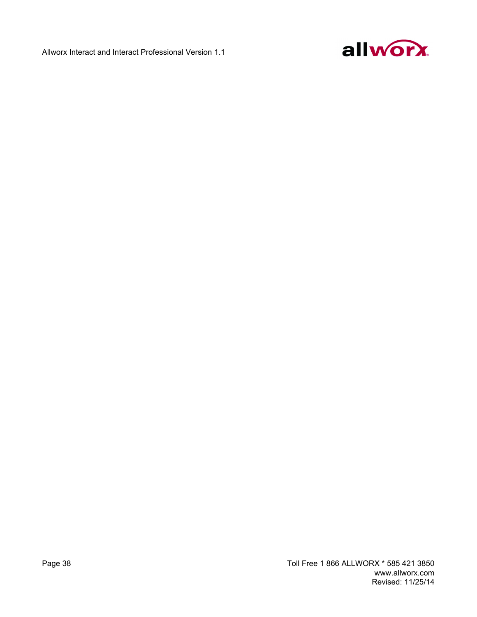

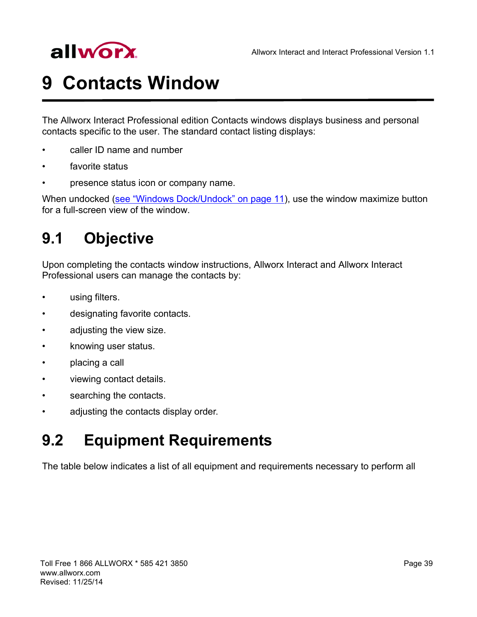

## <span id="page-46-0"></span>**9 Contacts Window**

The Allworx Interact Professional edition Contacts windows displays business and personal contacts specific to the user. The standard contact listing displays:

- caller ID name and number
- favorite status
- presence status icon or company name.

When undocked ([see "Windows Dock/Undock" on page 11](#page-18-2)), use the window maximize button for a full-screen view of the window.

### <span id="page-46-1"></span>**9.1 Objective**

Upon completing the contacts window instructions, Allworx Interact and Allworx Interact Professional users can manage the contacts by:

- using filters.
- designating favorite contacts.
- adjusting the view size.
- knowing user status.
- placing a call
- viewing contact details.
- searching the contacts.
- adjusting the contacts display order.

### <span id="page-46-2"></span>**9.2 Equipment Requirements**

The table below indicates a list of all equipment and requirements necessary to perform all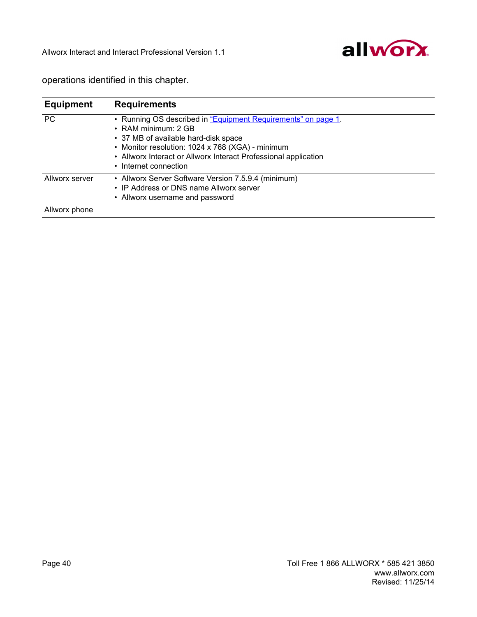

operations identified in this chapter.

| <b>Equipment</b> | <b>Requirements</b>                                                                                                                                                                                                                                                                |
|------------------|------------------------------------------------------------------------------------------------------------------------------------------------------------------------------------------------------------------------------------------------------------------------------------|
| PC               | • Running OS described in "Equipment Requirements" on page 1.<br>$\cdot$ RAM minimum: 2 GB<br>• 37 MB of available hard-disk space<br>• Monitor resolution: 1024 x 768 (XGA) - minimum<br>• Allworx Interact or Allworx Interact Professional application<br>• Internet connection |
| Allworx server   | • Allworx Server Software Version 7.5.9.4 (minimum)<br>• IP Address or DNS name Allworx server<br>• Allworx username and password                                                                                                                                                  |
| Allworx phone    |                                                                                                                                                                                                                                                                                    |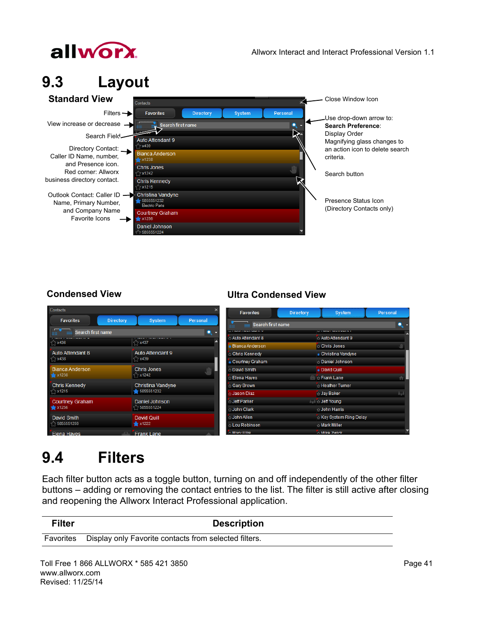

## <span id="page-48-0"></span>**9.3 Layout**



#### **Condensed View Ultra Condensed View**

| Contacts                 |                  |                          |           | <b>Favorites</b>                | <b>Directory</b> | <b>System</b>                   | Personal |
|--------------------------|------------------|--------------------------|-----------|---------------------------------|------------------|---------------------------------|----------|
| <b>Favorites</b>         | <b>Directory</b> | <b>System</b>            | Personal  | <b>Search first name</b>        |                  |                                 | Q.       |
| <b>Search first name</b> |                  |                          | $\bullet$ | <b><i>FARIO FARGHAMEN O</i></b> |                  | <b><i>FINISH FROM HOMES</i></b> |          |
|                          |                  |                          |           | Auto Attendant 8                |                  | Auto Attendant 9                |          |
| $\frac{1}{2}$ x436       |                  | $\frac{1}{2}$ x437       |           | ★ Bianca Anderson               |                  | Chris Jones                     |          |
| <b>Auto Attendant 8</b>  |                  | Auto Attendant 9         |           | Chris Kennedy                   |                  | ★ Christina Vandyne             |          |
| $\frac{1}{2}$ x438       |                  | $\gamma$ x439            |           | Courtney Graham                 |                  | <b>Daniel Johnson</b>           |          |
| <b>Bianca Anderson</b>   |                  | <b>Chris Jones</b>       |           | ⊙ David Smith                   |                  | David Quill                     |          |
| $\star$ x1238            |                  | $\frac{1}{2}$ x1242      |           | Elena Hayes                     |                  | Frank Lane                      |          |
| <b>Chris Kennedy</b>     |                  | Christina Vandyne        |           | <b>Gary Brown</b>               |                  | Heather Turner                  |          |
| $\frac{1}{2}$ x1215      |                  | $\rightarrow 5855551232$ |           | ⊙ Jason Diaz                    |                  | Jay Baker                       |          |
| <b>Courtney Graham</b>   |                  | Daniel Johnson           |           | Jeff Parker                     |                  | Jeff Young                      |          |
| x1256                    |                  | ₹ 5855551224             |           | <b>John Clark</b>               |                  | John Harris                     |          |
| David Smith              |                  | David Quill              |           | John Allen                      |                  | Key System Ring Delay           |          |
| $\frac{1}{2}$ 5855551259 |                  | $\star$ x1222            |           | <b>Lou Robinson</b>             |                  | Mark Miller                     |          |
| <b>Elena Haves</b>       |                  | <b>Frank Lane</b>        |           | Man/Ellie                       |                  | Mike Zwick                      |          |

### <span id="page-48-1"></span>**9.4 Filters**

Each filter button acts as a toggle button, turning on and off independently of the other filter buttons – adding or removing the contact entries to the list. The filter is still active after closing and reopening the Allworx Interact Professional application.

| <b>Filter</b> | <b>Description</b>                                              |  |
|---------------|-----------------------------------------------------------------|--|
|               | Favorites Display only Favorite contacts from selected filters. |  |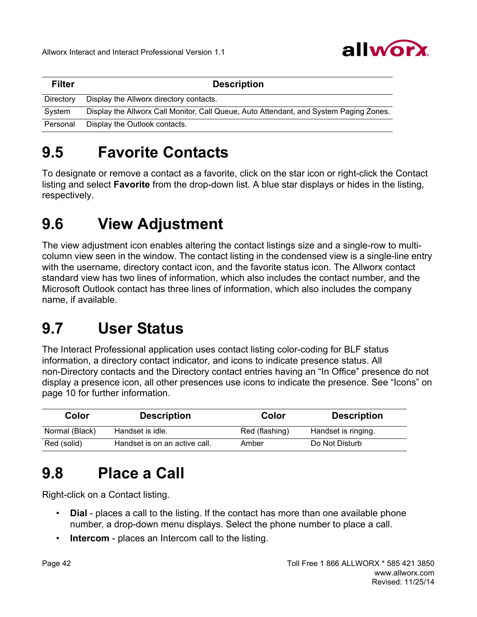

| <b>Filter</b> | <b>Description</b>                                                                     |
|---------------|----------------------------------------------------------------------------------------|
| Directory     | Display the Allworx directory contacts.                                                |
| System        | Display the Allworx Call Monitor, Call Queue, Auto Attendant, and System Paging Zones. |
| Personal      | Display the Outlook contacts.                                                          |

### <span id="page-49-0"></span>**9.5 Favorite Contacts**

To designate or remove a contact as a favorite, click on the star icon or right-click the Contact listing and select **Favorite** from the drop-down list. A blue star displays or hides in the listing, respectively.

### <span id="page-49-1"></span>**9.6 View Adjustment**

The view adjustment icon enables altering the contact listings size and a single-row to multicolumn view seen in the window. The contact listing in the condensed view is a single-line entry with the username, directory contact icon, and the favorite status icon. The Allworx contact standard view has two lines of information, which also includes the contact number, and the Microsoft Outlook contact has three lines of information, which also includes the company name, if available.

### <span id="page-49-2"></span>**9.7 User Status**

The Interact Professional application uses contact listing color-coding for BLF status information, a directory contact indicator, and icons to indicate presence status. All non-Directory contacts and the Directory contact entries having an "In Office" presence do not display a presence icon, all other presences use icons to indicate the presence. See ["Icons" on](#page-17-1)  [page 10](#page-17-1) for further information.

| Color          | <b>Description</b>            | Color          | <b>Description</b>  |
|----------------|-------------------------------|----------------|---------------------|
| Normal (Black) | Handset is idle.              | Red (flashing) | Handset is ringing. |
| Red (solid)    | Handset is on an active call. | Amber          | Do Not Disturb      |

### <span id="page-49-3"></span>**9.8 Place a Call**

Right-click on a Contact listing.

- **Dial** places a call to the listing. If the contact has more than one available phone number, a drop-down menu displays. Select the phone number to place a call.
- **Intercom** places an Intercom call to the listing.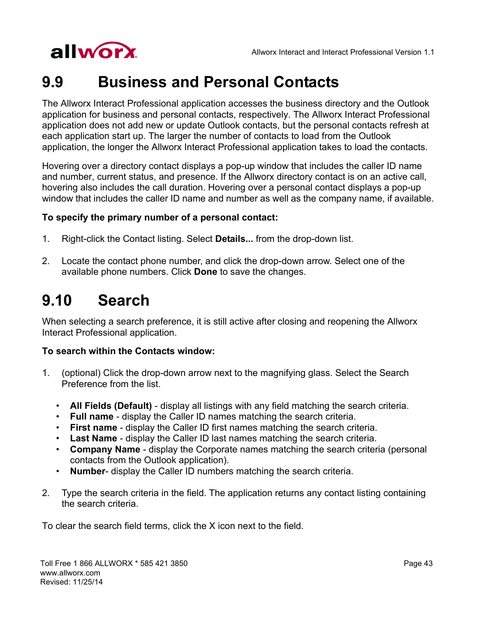

### <span id="page-50-0"></span>**9.9 Business and Personal Contacts**

The Allworx Interact Professional application accesses the business directory and the Outlook application for business and personal contacts, respectively. The Allworx Interact Professional application does not add new or update Outlook contacts, but the personal contacts refresh at each application start up. The larger the number of contacts to load from the Outlook application, the longer the Allworx Interact Professional application takes to load the contacts.

Hovering over a directory contact displays a pop-up window that includes the caller ID name and number, current status, and presence. If the Allworx directory contact is on an active call, hovering also includes the call duration. Hovering over a personal contact displays a pop-up window that includes the caller ID name and number as well as the company name, if available.

#### **To specify the primary number of a personal contact:**

- 1. Right-click the Contact listing. Select **Details...** from the drop-down list.
- 2. Locate the contact phone number, and click the drop-down arrow. Select one of the available phone numbers. Click **Done** to save the changes.

### <span id="page-50-1"></span>**9.10 Search**

When selecting a search preference, it is still active after closing and reopening the Allworx Interact Professional application.

#### **To search within the Contacts window:**

- 1. (optional) Click the drop-down arrow next to the magnifying glass. Select the Search Preference from the list.
	- **All Fields (Default)** display all listings with any field matching the search criteria.
	- **Full name** display the Caller ID names matching the search criteria.
	- **First name** display the Caller ID first names matching the search criteria.
	- **Last Name** display the Caller ID last names matching the search criteria.
	- **Company Name** display the Corporate names matching the search criteria (personal contacts from the Outlook application).
	- **Number** display the Caller ID numbers matching the search criteria.
- 2. Type the search criteria in the field. The application returns any contact listing containing the search criteria.

To clear the search field terms, click the X icon next to the field.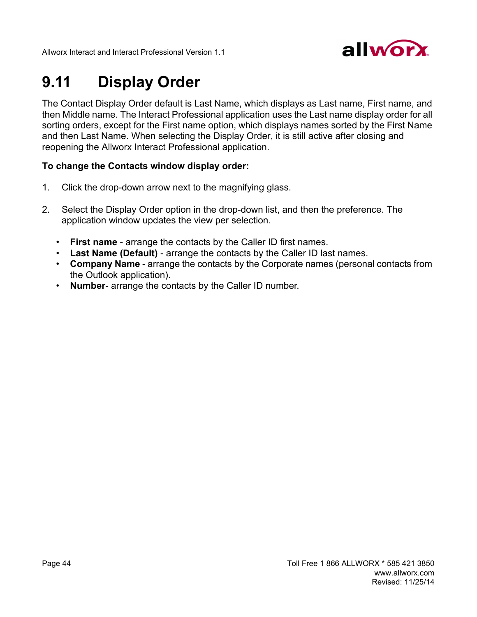

### <span id="page-51-0"></span>**9.11 Display Order**

The Contact Display Order default is Last Name, which displays as Last name, First name, and then Middle name. The Interact Professional application uses the Last name display order for all sorting orders, except for the First name option, which displays names sorted by the First Name and then Last Name. When selecting the Display Order, it is still active after closing and reopening the Allworx Interact Professional application.

#### **To change the Contacts window display order:**

- 1. Click the drop-down arrow next to the magnifying glass.
- 2. Select the Display Order option in the drop-down list, and then the preference. The application window updates the view per selection.
	- **First name** arrange the contacts by the Caller ID first names.
	- **Last Name (Default)** arrange the contacts by the Caller ID last names.
	- **Company Name** arrange the contacts by the Corporate names (personal contacts from the Outlook application).
	- **Number** arrange the contacts by the Caller ID number.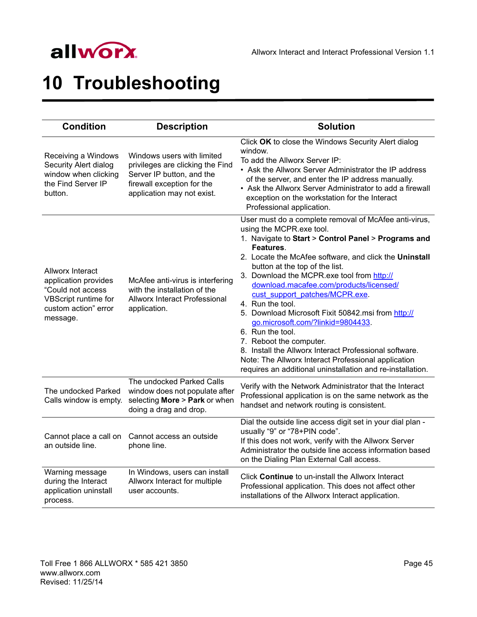

## <span id="page-52-0"></span>**10 Troubleshooting**

| <b>Condition</b>                                                                                                                                                                                                                                                 | <b>Description</b>                                                                                                     | <b>Solution</b>                                                                                                                                                                                                                                                                                                                                                                                                                                                                                                                                                                                                                                                                                                           |
|------------------------------------------------------------------------------------------------------------------------------------------------------------------------------------------------------------------------------------------------------------------|------------------------------------------------------------------------------------------------------------------------|---------------------------------------------------------------------------------------------------------------------------------------------------------------------------------------------------------------------------------------------------------------------------------------------------------------------------------------------------------------------------------------------------------------------------------------------------------------------------------------------------------------------------------------------------------------------------------------------------------------------------------------------------------------------------------------------------------------------------|
| Windows users with limited<br>Receiving a Windows<br>Security Alert dialog<br>privileges are clicking the Find<br>window when clicking<br>Server IP button, and the<br>the Find Server IP<br>firewall exception for the<br>button.<br>application may not exist. |                                                                                                                        | Click OK to close the Windows Security Alert dialog<br>window.<br>To add the Allworx Server IP:<br>• Ask the Allworx Server Administrator the IP address<br>of the server, and enter the IP address manually.<br>• Ask the Allworx Server Administrator to add a firewall<br>exception on the workstation for the Interact<br>Professional application.                                                                                                                                                                                                                                                                                                                                                                   |
| Allworx Interact<br>application provides<br>McAfee anti-virus is interfering<br>"Could not access<br>with the installation of the<br><b>Allworx Interact Professional</b><br>VBScript runtime for<br>custom action" error<br>application.<br>message.            |                                                                                                                        | User must do a complete removal of McAfee anti-virus,<br>using the MCPR exe tool.<br>1. Navigate to Start > Control Panel > Programs and<br>Features.<br>2. Locate the McAfee software, and click the Uninstall<br>button at the top of the list.<br>3. Download the MCPR.exe tool from http://<br>download.macafee.com/products/licensed/<br>cust support patches/MCPR.exe.<br>4. Run the tool.<br>5. Download Microsoft Fixit 50842.msi from http://<br>go.microsoft.com/?linkid=9804433.<br>6. Run the tool.<br>7. Reboot the computer.<br>8. Install the Allworx Interact Professional software.<br>Note: The Allworx Interact Professional application<br>requires an additional uninstallation and re-installation. |
| The undocked Parked<br>Calls window is empty.                                                                                                                                                                                                                    | The undocked Parked Calls<br>window does not populate after<br>selecting More > Park or when<br>doing a drag and drop. | Verify with the Network Administrator that the Interact<br>Professional application is on the same network as the<br>handset and network routing is consistent.                                                                                                                                                                                                                                                                                                                                                                                                                                                                                                                                                           |
| Cannot place a call on<br>an outside line.                                                                                                                                                                                                                       | Cannot access an outside<br>phone line.                                                                                | Dial the outside line access digit set in your dial plan -<br>usually "9" or "78+PIN code".<br>If this does not work, verify with the Allworx Server<br>Administrator the outside line access information based<br>on the Dialing Plan External Call access.                                                                                                                                                                                                                                                                                                                                                                                                                                                              |
| Warning message<br>during the Interact<br>application uninstall<br>process.                                                                                                                                                                                      | In Windows, users can install<br>Allworx Interact for multiple<br>user accounts.                                       | Click <b>Continue</b> to un-install the Allworx Interact<br>Professional application. This does not affect other<br>installations of the Allworx Interact application.                                                                                                                                                                                                                                                                                                                                                                                                                                                                                                                                                    |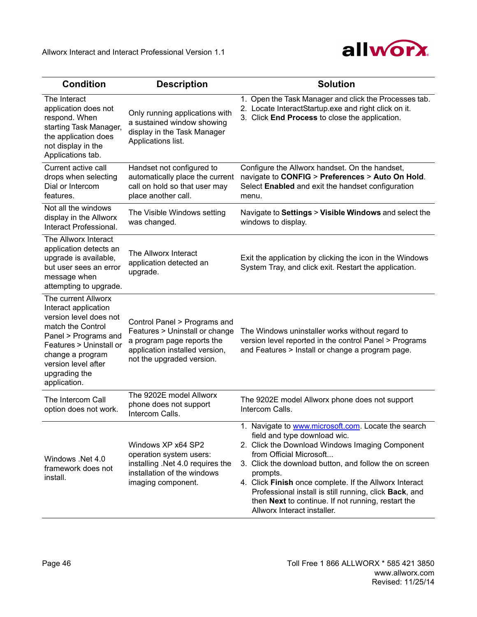

| <b>Condition</b>                                                                                                                                                                                                          | <b>Description</b>                                                                                                                                          | <b>Solution</b>                                                                                                                                                                                                                                                                                                                                                                                                                                         |
|---------------------------------------------------------------------------------------------------------------------------------------------------------------------------------------------------------------------------|-------------------------------------------------------------------------------------------------------------------------------------------------------------|---------------------------------------------------------------------------------------------------------------------------------------------------------------------------------------------------------------------------------------------------------------------------------------------------------------------------------------------------------------------------------------------------------------------------------------------------------|
| The Interact<br>application does not<br>respond. When<br>starting Task Manager,<br>the application does<br>not display in the<br>Applications tab.                                                                        | Only running applications with<br>a sustained window showing<br>display in the Task Manager<br>Applications list.                                           | 1. Open the Task Manager and click the Processes tab.<br>2. Locate InteractStartup.exe and right click on it.<br>3. Click End Process to close the application.                                                                                                                                                                                                                                                                                         |
| Current active call<br>drops when selecting<br>Dial or Intercom<br>features.                                                                                                                                              | Handset not configured to<br>automatically place the current<br>call on hold so that user may<br>place another call.                                        | Configure the Allworx handset. On the handset,<br>navigate to CONFIG > Preferences > Auto On Hold.<br>Select Enabled and exit the handset configuration<br>menu.                                                                                                                                                                                                                                                                                        |
| Not all the windows<br>display in the Allworx<br>Interact Professional.                                                                                                                                                   | The Visible Windows setting<br>was changed.                                                                                                                 | Navigate to Settings > Visible Windows and select the<br>windows to display.                                                                                                                                                                                                                                                                                                                                                                            |
| The Allworx Interact<br>application detects an<br>upgrade is available,<br>but user sees an error<br>message when<br>attempting to upgrade.                                                                               | The Allworx Interact<br>application detected an<br>upgrade.                                                                                                 | Exit the application by clicking the icon in the Windows<br>System Tray, and click exit. Restart the application.                                                                                                                                                                                                                                                                                                                                       |
| The current Allworx<br>Interact application<br>version level does not<br>match the Control<br>Panel > Programs and<br>Features > Uninstall or<br>change a program<br>version level after<br>upgrading the<br>application. | Control Panel > Programs and<br>Features > Uninstall or change<br>a program page reports the<br>application installed version,<br>not the upgraded version. | The Windows uninstaller works without regard to<br>version level reported in the control Panel > Programs<br>and Features > Install or change a program page.                                                                                                                                                                                                                                                                                           |
| The Intercom Call<br>option does not work.                                                                                                                                                                                | The 9202E model Allworx<br>phone does not support<br>Intercom Calls.                                                                                        | The 9202E model Allworx phone does not support<br>Intercom Calls.                                                                                                                                                                                                                                                                                                                                                                                       |
| Windows .Net 4.0<br>framework does not<br>install.                                                                                                                                                                        | Windows XP x64 SP2<br>operation system users:<br>installing .Net 4.0 requires the<br>installation of the windows<br>imaging component.                      | 1. Navigate to www.microsoft.com. Locate the search<br>field and type download wic.<br>2. Click the Download Windows Imaging Component<br>from Official Microsoft<br>3. Click the download button, and follow the on screen<br>prompts.<br>4. Click Finish once complete. If the Allworx Interact<br>Professional install is still running, click Back, and<br>then <b>Next</b> to continue. If not running, restart the<br>Allworx Interact installer. |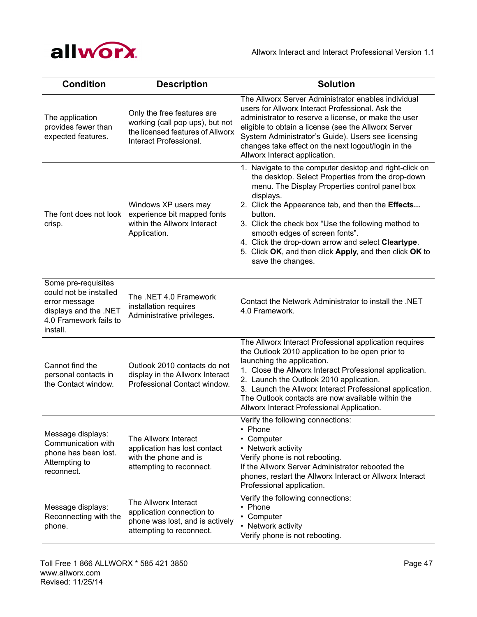

| <b>Condition</b>                                                                                                              | <b>Description</b>                                                                                                          | <b>Solution</b>                                                                                                                                                                                                                                                                                                                                                                                                                                                           |
|-------------------------------------------------------------------------------------------------------------------------------|-----------------------------------------------------------------------------------------------------------------------------|---------------------------------------------------------------------------------------------------------------------------------------------------------------------------------------------------------------------------------------------------------------------------------------------------------------------------------------------------------------------------------------------------------------------------------------------------------------------------|
| The application<br>provides fewer than<br>expected features.                                                                  | Only the free features are<br>working (call pop ups), but not<br>the licensed features of Allworx<br>Interact Professional. | The Allworx Server Administrator enables individual<br>users for Allworx Interact Professional. Ask the<br>administrator to reserve a license, or make the user<br>eligible to obtain a license (see the Allworx Server<br>System Administrator's Guide). Users see licensing<br>changes take effect on the next logout/login in the<br>Allworx Interact application.                                                                                                     |
| The font does not look<br>crisp.                                                                                              | Windows XP users may<br>experience bit mapped fonts<br>within the Allworx Interact<br>Application.                          | 1. Navigate to the computer desktop and right-click on<br>the desktop. Select Properties from the drop-down<br>menu. The Display Properties control panel box<br>displays.<br>2. Click the Appearance tab, and then the Effects<br>button.<br>3. Click the check box "Use the following method to<br>smooth edges of screen fonts".<br>4. Click the drop-down arrow and select Cleartype.<br>5. Click OK, and then click Apply, and then click OK to<br>save the changes. |
| Some pre-requisites<br>could not be installed<br>error message<br>displays and the .NET<br>4.0 Framework fails to<br>install. | The .NET 4.0 Framework<br>installation requires<br>Administrative privileges.                                               | Contact the Network Administrator to install the .NET<br>4.0 Framework.                                                                                                                                                                                                                                                                                                                                                                                                   |
| Cannot find the<br>personal contacts in<br>the Contact window.                                                                | Outlook 2010 contacts do not<br>display in the Allworx Interact<br>Professional Contact window.                             | The Allworx Interact Professional application requires<br>the Outlook 2010 application to be open prior to<br>launching the application.<br>1. Close the Allworx Interact Professional application.<br>2. Launch the Outlook 2010 application.<br>3. Launch the Allworx Interact Professional application.<br>The Outlook contacts are now available within the<br>Allworx Interact Professional Application.                                                             |
| Message displays:<br>Communication with<br>phone has been lost.<br>Attempting to<br>reconnect.                                | The Allworx Interact<br>application has lost contact<br>with the phone and is<br>attempting to reconnect.                   | Verify the following connections:<br>• Phone<br>• Computer<br>• Network activity<br>Verify phone is not rebooting.<br>If the Allworx Server Administrator rebooted the<br>phones, restart the Allworx Interact or Allworx Interact<br>Professional application.                                                                                                                                                                                                           |
| Message displays:<br>Reconnecting with the<br>phone.                                                                          | The Allworx Interact<br>application connection to<br>phone was lost, and is actively<br>attempting to reconnect.            | Verify the following connections:<br>• Phone<br>• Computer<br>Network activity<br>Verify phone is not rebooting.                                                                                                                                                                                                                                                                                                                                                          |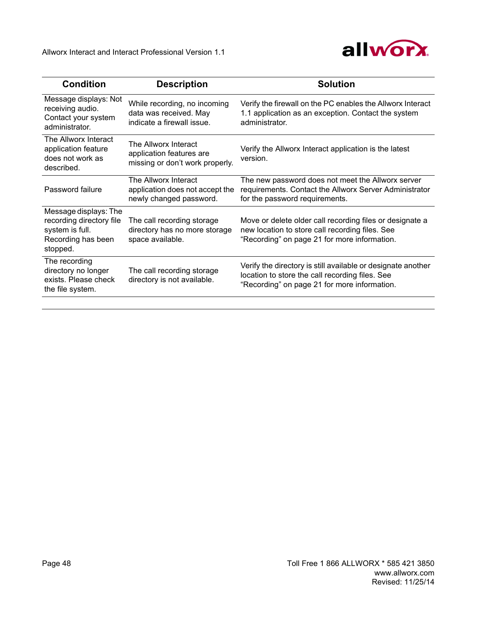

| <b>Condition</b>                                                                                       | <b>Description</b>                                                                   | <b>Solution</b>                                                                                                                                                 |
|--------------------------------------------------------------------------------------------------------|--------------------------------------------------------------------------------------|-----------------------------------------------------------------------------------------------------------------------------------------------------------------|
| Message displays: Not<br>receiving audio.<br>Contact your system<br>administrator.                     | While recording, no incoming<br>data was received. May<br>indicate a firewall issue. | Verify the firewall on the PC enables the Allworx Interact<br>1.1 application as an exception. Contact the system<br>administrator.                             |
| The Allworx Interact<br>application feature<br>does not work as<br>described.                          | The Allworx Interact<br>application features are<br>missing or don't work properly.  | Verify the Allworx Interact application is the latest<br>version.                                                                                               |
| Password failure                                                                                       | The Allworx Interact<br>application does not accept the<br>newly changed password.   | The new password does not meet the Allworx server<br>requirements. Contact the Allworx Server Administrator<br>for the password requirements.                   |
| Message displays: The<br>recording directory file<br>system is full.<br>Recording has been<br>stopped. | The call recording storage<br>directory has no more storage<br>space available.      | Move or delete older call recording files or designate a<br>new location to store call recording files. See<br>"Recording" on page 21 for more information.     |
| The recording<br>directory no longer<br>exists. Please check<br>the file system.                       | The call recording storage<br>directory is not available.                            | Verify the directory is still available or designate another<br>location to store the call recording files. See<br>"Recording" on page 21 for more information. |